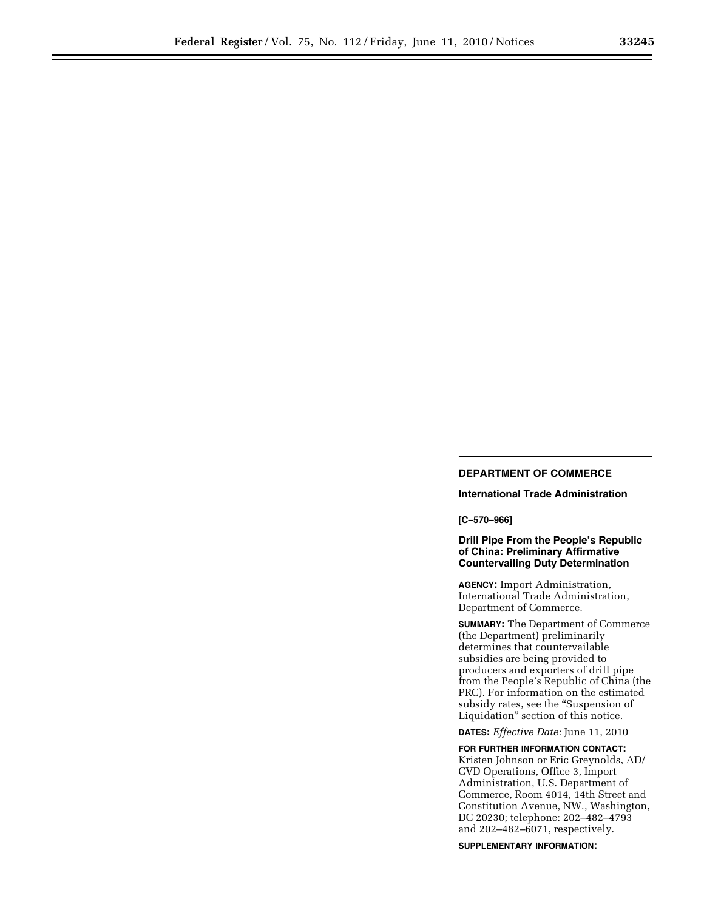# **DEPARTMENT OF COMMERCE**

# **International Trade Administration**

### **[C–570–966]**

# **Drill Pipe From the People's Republic of China: Preliminary Affirmative Countervailing Duty Determination**

**AGENCY:** Import Administration, International Trade Administration, Department of Commerce.

**SUMMARY:** The Department of Commerce (the Department) preliminarily determines that countervailable subsidies are being provided to producers and exporters of drill pipe from the People's Republic of China (the PRC). For information on the estimated subsidy rates, see the ''Suspension of Liquidation'' section of this notice.

**DATES:** *Effective Date:* June 11, 2010

**FOR FURTHER INFORMATION CONTACT:**  Kristen Johnson or Eric Greynolds, AD/ CVD Operations, Office 3, Import Administration, U.S. Department of Commerce, Room 4014, 14th Street and Constitution Avenue, NW., Washington, DC 20230; telephone: 202–482–4793 and 202–482–6071, respectively.

**SUPPLEMENTARY INFORMATION:**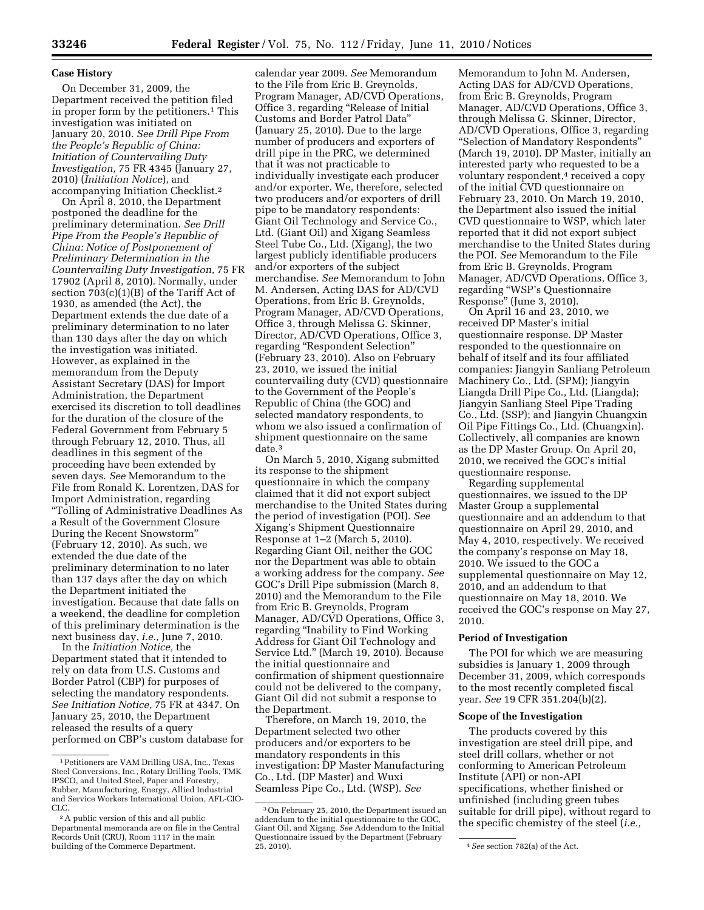### **Case History**

On December 31, 2009, the Department received the petition filed in proper form by the petitioners.<sup>1</sup> This investigation was initiated on January 20, 2010. *See Drill Pipe From the People's Republic of China: Initiation of Countervailing Duty Investigation,* 75 FR 4345 (January 27, 2010) (*Initiation Notice*), and accompanying Initiation Checklist.2

On April 8, 2010, the Department postponed the deadline for the preliminary determination. *See Drill Pipe From the People's Republic of China: Notice of Postponement of Preliminary Determination in the Countervailing Duty Investigation,* 75 FR 17902 (April 8, 2010). Normally, under section 703(c)(1)(B) of the Tariff Act of 1930, as amended (the Act), the Department extends the due date of a preliminary determination to no later than 130 days after the day on which the investigation was initiated. However, as explained in the memorandum from the Deputy Assistant Secretary (DAS) for Import Administration, the Department exercised its discretion to toll deadlines for the duration of the closure of the Federal Government from February 5 through February 12, 2010. Thus, all deadlines in this segment of the proceeding have been extended by seven days. *See* Memorandum to the File from Ronald K. Lorentzen, DAS for Import Administration, regarding ''Tolling of Administrative Deadlines As a Result of the Government Closure During the Recent Snowstorm'' (February 12, 2010). As such, we extended the due date of the preliminary determination to no later than 137 days after the day on which the Department initiated the investigation. Because that date falls on a weekend, the deadline for completion of this preliminary determination is the next business day, *i.e.,* June 7, 2010.

In the *Initiation Notice,* the Department stated that it intended to rely on data from U.S. Customs and Border Patrol (CBP) for purposes of selecting the mandatory respondents. *See Initiation Notice,* 75 FR at 4347. On January 25, 2010, the Department released the results of a query performed on CBP's custom database for

calendar year 2009. *See* Memorandum to the File from Eric B. Greynolds, Program Manager, AD/CVD Operations, Office 3, regarding ''Release of Initial Customs and Border Patrol Data'' (January 25, 2010). Due to the large number of producers and exporters of drill pipe in the PRC, we determined that it was not practicable to individually investigate each producer and/or exporter. We, therefore, selected two producers and/or exporters of drill pipe to be mandatory respondents: Giant Oil Technology and Service Co., Ltd. (Giant Oil) and Xigang Seamless Steel Tube Co., Ltd. (Xigang), the two largest publicly identifiable producers and/or exporters of the subject merchandise. *See* Memorandum to John M. Andersen, Acting DAS for AD/CVD Operations, from Eric B. Greynolds, Program Manager, AD/CVD Operations, Office 3, through Melissa G. Skinner, Director, AD/CVD Operations, Office 3, regarding ''Respondent Selection'' (February 23, 2010). Also on February 23, 2010, we issued the initial countervailing duty (CVD) questionnaire to the Government of the People's Republic of China (the GOC) and selected mandatory respondents, to whom we also issued a confirmation of shipment questionnaire on the same date.3

On March 5, 2010, Xigang submitted its response to the shipment questionnaire in which the company claimed that it did not export subject merchandise to the United States during the period of investigation (POI). *See*  Xigang's Shipment Questionnaire Response at 1–2 (March 5, 2010). Regarding Giant Oil, neither the GOC nor the Department was able to obtain a working address for the company. *See*  GOC's Drill Pipe submission (March 8, 2010) and the Memorandum to the File from Eric B. Greynolds, Program Manager, AD/CVD Operations, Office 3, regarding ''Inability to Find Working Address for Giant Oil Technology and Service Ltd.'' (March 19, 2010). Because the initial questionnaire and confirmation of shipment questionnaire could not be delivered to the company, Giant Oil did not submit a response to the Department.

Therefore, on March 19, 2010, the Department selected two other producers and/or exporters to be mandatory respondents in this investigation: DP Master Manufacturing Co., Ltd. (DP Master) and Wuxi Seamless Pipe Co., Ltd. (WSP). *See* 

Memorandum to John M. Andersen, Acting DAS for AD/CVD Operations, from Eric B. Greynolds, Program Manager, AD/CVD Operations, Office 3, through Melissa G. Skinner, Director, AD/CVD Operations, Office 3, regarding ''Selection of Mandatory Respondents'' (March 19, 2010). DP Master, initially an interested party who requested to be a voluntary respondent,4 received a copy of the initial CVD questionnaire on February 23, 2010. On March 19, 2010, the Department also issued the initial CVD questionnaire to WSP, which later reported that it did not export subject merchandise to the United States during the POI. *See* Memorandum to the File from Eric B. Greynolds, Program Manager, AD/CVD Operations, Office 3, regarding ''WSP's Questionnaire Response'' (June 3, 2010).

On April 16 and 23, 2010, we received DP Master's initial questionnaire response. DP Master responded to the questionnaire on behalf of itself and its four affiliated companies: Jiangyin Sanliang Petroleum Machinery Co., Ltd. (SPM); Jiangyin Liangda Drill Pipe Co., Ltd. (Liangda); Jiangyin Sanliang Steel Pipe Trading Co., Ltd. (SSP); and Jiangyin Chuangxin Oil Pipe Fittings Co., Ltd. (Chuangxin). Collectively, all companies are known as the DP Master Group. On April 20, 2010, we received the GOC's initial questionnaire response.

Regarding supplemental questionnaires, we issued to the DP Master Group a supplemental questionnaire and an addendum to that questionnaire on April 29, 2010, and May 4, 2010, respectively. We received the company's response on May 18, 2010. We issued to the GOC a supplemental questionnaire on May 12, 2010, and an addendum to that questionnaire on May 18, 2010. We received the GOC's response on May 27, 2010.

#### **Period of Investigation**

The POI for which we are measuring subsidies is January 1, 2009 through December 31, 2009, which corresponds to the most recently completed fiscal year. *See* 19 CFR 351.204(b)(2).

### **Scope of the Investigation**

The products covered by this investigation are steel drill pipe, and steel drill collars, whether or not conforming to American Petroleum Institute (API) or non-API specifications, whether finished or unfinished (including green tubes suitable for drill pipe), without regard to the specific chemistry of the steel (*i.e.,* 

<sup>1</sup>Petitioners are VAM Drilling USA, Inc., Texas Steel Conversions, Inc., Rotary Drilling Tools, TMK IPSCO, and United Steel, Paper and Forestry, Rubber, Manufacturing, Energy, Allied Industrial and Service Workers International Union, AFL-CIO-CLC.

<sup>2</sup>A public version of this and all public Departmental memoranda are on file in the Central Records Unit (CRU), Room 1117 in the main building of the Commerce Department.

<sup>3</sup>On February 25, 2010, the Department issued an addendum to the initial questionnaire to the GOC, Giant Oil, and Xigang. *See* Addendum to the Initial Questionnaire issued by the Department (February

<sup>&</sup>lt;sup>4</sup> See section 782(a) of the Act.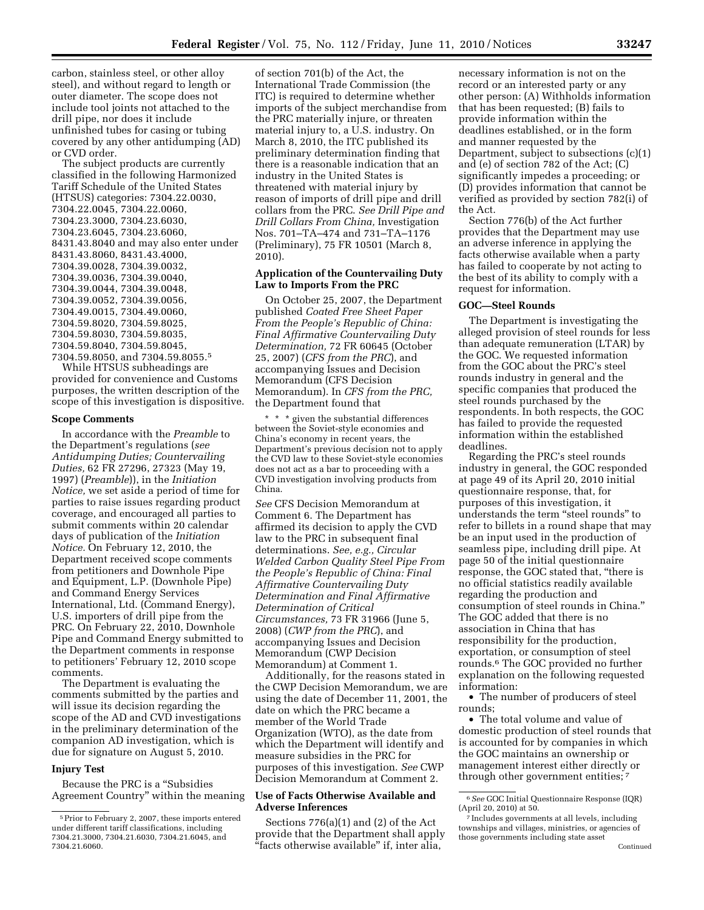carbon, stainless steel, or other alloy steel), and without regard to length or outer diameter. The scope does not include tool joints not attached to the drill pipe, nor does it include unfinished tubes for casing or tubing covered by any other antidumping (AD) or CVD order.

The subject products are currently classified in the following Harmonized Tariff Schedule of the United States (HTSUS) categories: 7304.22.0030, 7304.22.0045, 7304.22.0060, 7304.23.3000, 7304.23.6030, 7304.23.6045, 7304.23.6060, 8431.43.8040 and may also enter under 8431.43.8060, 8431.43.4000, 7304.39.0028, 7304.39.0032, 7304.39.0036, 7304.39.0040, 7304.39.0044, 7304.39.0048, 7304.39.0052, 7304.39.0056, 7304.49.0015, 7304.49.0060, 7304.59.8020, 7304.59.8025, 7304.59.8030, 7304.59.8035, 7304.59.8040, 7304.59.8045, 7304.59.8050, and 7304.59.8055.5

While HTSUS subheadings are provided for convenience and Customs purposes, the written description of the scope of this investigation is dispositive.

### **Scope Comments**

In accordance with the *Preamble* to the Department's regulations (*see Antidumping Duties; Countervailing Duties,* 62 FR 27296, 27323 (May 19, 1997) (*Preamble*)), in the *Initiation Notice,* we set aside a period of time for parties to raise issues regarding product coverage, and encouraged all parties to submit comments within 20 calendar days of publication of the *Initiation Notice.* On February 12, 2010, the Department received scope comments from petitioners and Downhole Pipe and Equipment, L.P. (Downhole Pipe) and Command Energy Services International, Ltd. (Command Energy), U.S. importers of drill pipe from the PRC. On February 22, 2010, Downhole Pipe and Command Energy submitted to the Department comments in response to petitioners' February 12, 2010 scope comments.

The Department is evaluating the comments submitted by the parties and will issue its decision regarding the scope of the AD and CVD investigations in the preliminary determination of the companion AD investigation, which is due for signature on August 5, 2010.

#### **Injury Test**

Because the PRC is a ''Subsidies Agreement Country'' within the meaning

of section 701(b) of the Act, the International Trade Commission (the ITC) is required to determine whether imports of the subject merchandise from the PRC materially injure, or threaten material injury to, a U.S. industry. On March 8, 2010, the ITC published its preliminary determination finding that there is a reasonable indication that an industry in the United States is threatened with material injury by reason of imports of drill pipe and drill collars from the PRC. *See Drill Pipe and Drill Collars From China,* Investigation Nos. 701–TA–474 and 731–TA–1176 (Preliminary), 75 FR 10501 (March 8, 2010).

# **Application of the Countervailing Duty Law to Imports From the PRC**

On October 25, 2007, the Department published *Coated Free Sheet Paper From the People's Republic of China: Final Affirmative Countervailing Duty Determination,* 72 FR 60645 (October 25, 2007) (*CFS from the PRC*), and accompanying Issues and Decision Memorandum (CFS Decision Memorandum). In *CFS from the PRC,*  the Department found that

\* \* \* given the substantial differences between the Soviet-style economies and China's economy in recent years, the Department's previous decision not to apply the CVD law to these Soviet-style economies does not act as a bar to proceeding with a CVD investigation involving products from China.

*See* CFS Decision Memorandum at Comment 6. The Department has affirmed its decision to apply the CVD law to the PRC in subsequent final determinations. *See, e.g., Circular Welded Carbon Quality Steel Pipe From the People's Republic of China: Final Affirmative Countervailing Duty Determination and Final Affirmative Determination of Critical Circumstances,* 73 FR 31966 (June 5, 2008) (*CWP from the PRC*), and accompanying Issues and Decision Memorandum (CWP Decision Memorandum) at Comment 1.

Additionally, for the reasons stated in the CWP Decision Memorandum, we are using the date of December 11, 2001, the date on which the PRC became a member of the World Trade Organization (WTO), as the date from which the Department will identify and measure subsidies in the PRC for purposes of this investigation. *See* CWP Decision Memorandum at Comment 2.

# **Use of Facts Otherwise Available and Adverse Inferences**

Sections 776(a)(1) and (2) of the Act provide that the Department shall apply "facts otherwise available" if, inter alia,

necessary information is not on the record or an interested party or any other person: (A) Withholds information that has been requested; (B) fails to provide information within the deadlines established, or in the form and manner requested by the Department, subject to subsections (c)(1) and (e) of section 782 of the Act; (C) significantly impedes a proceeding; or (D) provides information that cannot be verified as provided by section 782(i) of the Act.

Section 776(b) of the Act further provides that the Department may use an adverse inference in applying the facts otherwise available when a party has failed to cooperate by not acting to the best of its ability to comply with a request for information.

## **GOC—Steel Rounds**

The Department is investigating the alleged provision of steel rounds for less than adequate remuneration (LTAR) by the GOC. We requested information from the GOC about the PRC's steel rounds industry in general and the specific companies that produced the steel rounds purchased by the respondents. In both respects, the GOC has failed to provide the requested information within the established deadlines.

Regarding the PRC's steel rounds industry in general, the GOC responded at page 49 of its April 20, 2010 initial questionnaire response, that, for purposes of this investigation, it understands the term ''steel rounds'' to refer to billets in a round shape that may be an input used in the production of seamless pipe, including drill pipe. At page 50 of the initial questionnaire response, the GOC stated that, ''there is no official statistics readily available regarding the production and consumption of steel rounds in China.'' The GOC added that there is no association in China that has responsibility for the production, exportation, or consumption of steel rounds.6 The GOC provided no further explanation on the following requested information:

• The number of producers of steel rounds;

• The total volume and value of domestic production of steel rounds that is accounted for by companies in which the GOC maintains an ownership or management interest either directly or through other government entities; 7

<sup>5</sup>Prior to February 2, 2007, these imports entered under different tariff classifications, including 7304.21.3000, 7304.21.6030, 7304.21.6045, and 7304.21.6060.

<sup>6</sup>*See* GOC Initial Questionnaire Response (IQR) (April 20, 2010) at 50.

<sup>7</sup> Includes governments at all levels, including townships and villages, ministries, or agencies of those governments including state asset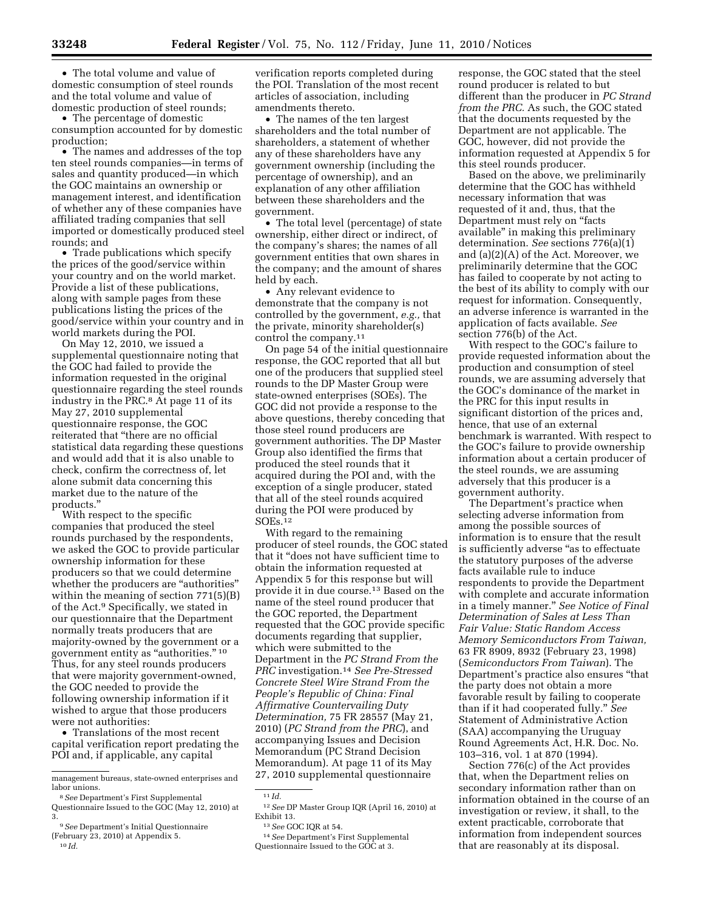• The total volume and value of domestic consumption of steel rounds and the total volume and value of domestic production of steel rounds;

• The percentage of domestic consumption accounted for by domestic production;

• The names and addresses of the top ten steel rounds companies—in terms of sales and quantity produced—in which the GOC maintains an ownership or management interest, and identification of whether any of these companies have affiliated trading companies that sell imported or domestically produced steel rounds; and

• Trade publications which specify the prices of the good/service within your country and on the world market. Provide a list of these publications, along with sample pages from these publications listing the prices of the good/service within your country and in world markets during the POI.

On May 12, 2010, we issued a supplemental questionnaire noting that the GOC had failed to provide the information requested in the original questionnaire regarding the steel rounds industry in the PRC.8 At page 11 of its May 27, 2010 supplemental questionnaire response, the GOC reiterated that ''there are no official statistical data regarding these questions and would add that it is also unable to check, confirm the correctness of, let alone submit data concerning this market due to the nature of the products.''

With respect to the specific companies that produced the steel rounds purchased by the respondents, we asked the GOC to provide particular ownership information for these producers so that we could determine whether the producers are "authorities" within the meaning of section 771(5)(B) of the Act.9 Specifically, we stated in our questionnaire that the Department normally treats producers that are majority-owned by the government or a government entity as "authorities." 10 Thus, for any steel rounds producers that were majority government-owned, the GOC needed to provide the following ownership information if it wished to argue that those producers were not authorities:

• Translations of the most recent capital verification report predating the POI and, if applicable, any capital

verification reports completed during the POI. Translation of the most recent articles of association, including amendments thereto.

• The names of the ten largest shareholders and the total number of shareholders, a statement of whether any of these shareholders have any government ownership (including the percentage of ownership), and an explanation of any other affiliation between these shareholders and the government.

• The total level (percentage) of state ownership, either direct or indirect, of the company's shares; the names of all government entities that own shares in the company; and the amount of shares held by each.

• Any relevant evidence to demonstrate that the company is not controlled by the government, *e.g.,* that the private, minority shareholder(s) control the company.11

On page 54 of the initial questionnaire response, the GOC reported that all but one of the producers that supplied steel rounds to the DP Master Group were state-owned enterprises (SOEs). The GOC did not provide a response to the above questions, thereby conceding that those steel round producers are government authorities. The DP Master Group also identified the firms that produced the steel rounds that it acquired during the POI and, with the exception of a single producer, stated that all of the steel rounds acquired during the POI were produced by SOEs.12

With regard to the remaining producer of steel rounds, the GOC stated that it ''does not have sufficient time to obtain the information requested at Appendix 5 for this response but will provide it in due course.13 Based on the name of the steel round producer that the GOC reported, the Department requested that the GOC provide specific documents regarding that supplier, which were submitted to the Department in the *PC Strand From the PRC* investigation.14 *See Pre-Stressed Concrete Steel Wire Strand From the People's Republic of China: Final Affirmative Countervailing Duty Determination,* 75 FR 28557 (May 21, 2010) (*PC Strand from the PRC*), and accompanying Issues and Decision Memorandum (PC Strand Decision Memorandum). At page 11 of its May 27, 2010 supplemental questionnaire

response, the GOC stated that the steel round producer is related to but different than the producer in *PC Strand from the PRC.* As such, the GOC stated that the documents requested by the Department are not applicable. The GOC, however, did not provide the information requested at Appendix 5 for this steel rounds producer.

Based on the above, we preliminarily determine that the GOC has withheld necessary information that was requested of it and, thus, that the Department must rely on ''facts available'' in making this preliminary determination. *See* sections 776(a)(1) and (a)(2)(A) of the Act. Moreover, we preliminarily determine that the GOC has failed to cooperate by not acting to the best of its ability to comply with our request for information. Consequently, an adverse inference is warranted in the application of facts available. *See*  section 776(b) of the Act.

With respect to the GOC's failure to provide requested information about the production and consumption of steel rounds, we are assuming adversely that the GOC's dominance of the market in the PRC for this input results in significant distortion of the prices and, hence, that use of an external benchmark is warranted. With respect to the GOC's failure to provide ownership information about a certain producer of the steel rounds, we are assuming adversely that this producer is a government authority.

The Department's practice when selecting adverse information from among the possible sources of information is to ensure that the result is sufficiently adverse "as to effectuate" the statutory purposes of the adverse facts available rule to induce respondents to provide the Department with complete and accurate information in a timely manner.'' *See Notice of Final Determination of Sales at Less Than Fair Value: Static Random Access Memory Semiconductors From Taiwan,*  63 FR 8909, 8932 (February 23, 1998) (*Semiconductors From Taiwan*). The Department's practice also ensures ''that the party does not obtain a more favorable result by failing to cooperate than if it had cooperated fully.'' *See*  Statement of Administrative Action (SAA) accompanying the Uruguay Round Agreements Act, H.R. Doc. No. 103–316, vol. 1 at 870 (1994).

Section 776(c) of the Act provides that, when the Department relies on secondary information rather than on information obtained in the course of an investigation or review, it shall, to the extent practicable, corroborate that information from independent sources that are reasonably at its disposal.

management bureaus, state-owned enterprises and labor unions.

<sup>8</sup>*See* Department's First Supplemental Questionnaire Issued to the GOC (May 12, 2010) at 3.

<sup>9</sup>*See* Department's Initial Questionnaire

<sup>(</sup>February 23, 2010) at Appendix 5. 10 *Id.* 

 $11$  *Id.* 

<sup>12</sup>*See* DP Master Group IQR (April 16, 2010) at Exhibit 13.

<sup>13</sup>*See* GOC IQR at 54.

<sup>14</sup>*See* Department's First Supplemental Questionnaire Issued to the GOC at 3.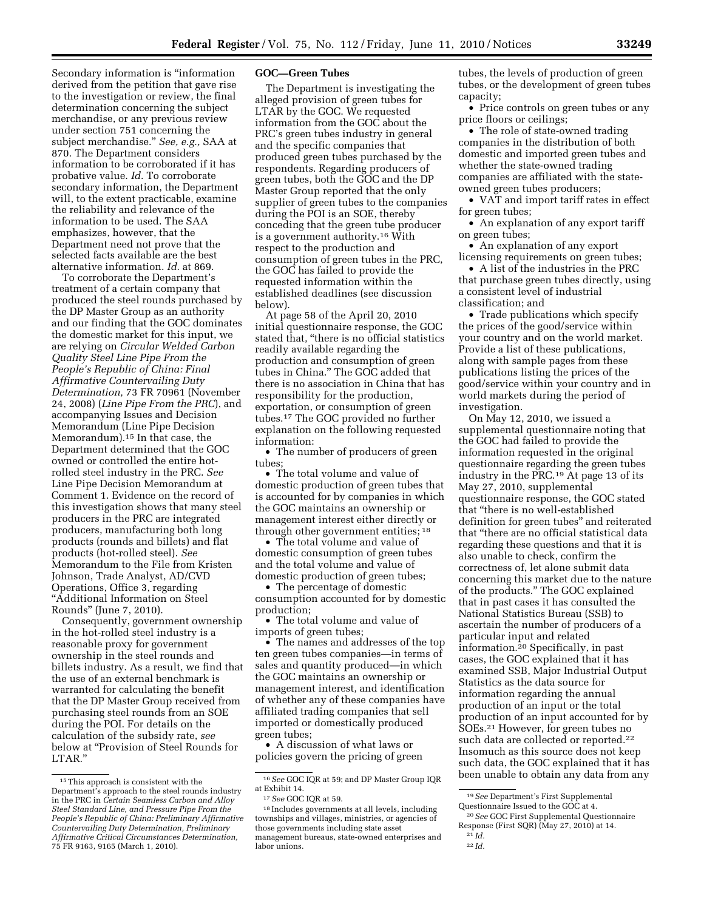Secondary information is ''information derived from the petition that gave rise to the investigation or review, the final determination concerning the subject merchandise, or any previous review under section 751 concerning the subject merchandise.'' *See, e.g.,* SAA at 870. The Department considers information to be corroborated if it has probative value. *Id.* To corroborate secondary information, the Department will, to the extent practicable, examine the reliability and relevance of the information to be used. The SAA emphasizes, however, that the Department need not prove that the selected facts available are the best alternative information. *Id.* at 869.

To corroborate the Department's treatment of a certain company that produced the steel rounds purchased by the DP Master Group as an authority and our finding that the GOC dominates the domestic market for this input, we are relying on *Circular Welded Carbon Quality Steel Line Pipe From the People's Republic of China: Final Affirmative Countervailing Duty Determination,* 73 FR 70961 (November 24, 2008) (*Line Pipe From the PRC*), and accompanying Issues and Decision Memorandum (Line Pipe Decision Memorandum).15 In that case, the Department determined that the GOC owned or controlled the entire hotrolled steel industry in the PRC. *See*  Line Pipe Decision Memorandum at Comment 1. Evidence on the record of this investigation shows that many steel producers in the PRC are integrated producers, manufacturing both long products (rounds and billets) and flat products (hot-rolled steel). *See*  Memorandum to the File from Kristen Johnson, Trade Analyst, AD/CVD Operations, Office 3, regarding ''Additional Information on Steel Rounds'' (June 7, 2010).

Consequently, government ownership in the hot-rolled steel industry is a reasonable proxy for government ownership in the steel rounds and billets industry. As a result, we find that the use of an external benchmark is warranted for calculating the benefit that the DP Master Group received from purchasing steel rounds from an SOE during the POI. For details on the calculation of the subsidy rate, *see*  below at ''Provision of Steel Rounds for LTAR.''

### **GOC—Green Tubes**

The Department is investigating the alleged provision of green tubes for LTAR by the GOC. We requested information from the GOC about the PRC's green tubes industry in general and the specific companies that produced green tubes purchased by the respondents. Regarding producers of green tubes, both the GOC and the DP Master Group reported that the only supplier of green tubes to the companies during the POI is an SOE, thereby conceding that the green tube producer is a government authority.16 With respect to the production and consumption of green tubes in the PRC, the GOC has failed to provide the requested information within the established deadlines (see discussion below).

At page 58 of the April 20, 2010 initial questionnaire response, the GOC stated that, ''there is no official statistics readily available regarding the production and consumption of green tubes in China.'' The GOC added that there is no association in China that has responsibility for the production, exportation, or consumption of green tubes.17 The GOC provided no further explanation on the following requested information:

• The number of producers of green tubes;

• The total volume and value of domestic production of green tubes that is accounted for by companies in which the GOC maintains an ownership or management interest either directly or through other government entities; 18

• The total volume and value of domestic consumption of green tubes and the total volume and value of domestic production of green tubes;

• The percentage of domestic consumption accounted for by domestic production;

• The total volume and value of imports of green tubes;

• The names and addresses of the top ten green tubes companies—in terms of sales and quantity produced—in which the GOC maintains an ownership or management interest, and identification of whether any of these companies have affiliated trading companies that sell imported or domestically produced green tubes;

• A discussion of what laws or policies govern the pricing of green tubes, the levels of production of green tubes, or the development of green tubes capacity;

• Price controls on green tubes or any price floors or ceilings;

• The role of state-owned trading companies in the distribution of both domestic and imported green tubes and whether the state-owned trading companies are affiliated with the stateowned green tubes producers;

• VAT and import tariff rates in effect for green tubes;

• An explanation of any export tariff on green tubes;

• An explanation of any export licensing requirements on green tubes;

• A list of the industries in the PRC that purchase green tubes directly, using a consistent level of industrial classification; and

• Trade publications which specify the prices of the good/service within your country and on the world market. Provide a list of these publications, along with sample pages from these publications listing the prices of the good/service within your country and in world markets during the period of investigation.

On May 12, 2010, we issued a supplemental questionnaire noting that the GOC had failed to provide the information requested in the original questionnaire regarding the green tubes industry in the PRC.19 At page 13 of its May 27, 2010, supplemental questionnaire response, the GOC stated that ''there is no well-established definition for green tubes'' and reiterated that ''there are no official statistical data regarding these questions and that it is also unable to check, confirm the correctness of, let alone submit data concerning this market due to the nature of the products.'' The GOC explained that in past cases it has consulted the National Statistics Bureau (SSB) to ascertain the number of producers of a particular input and related information.20 Specifically, in past cases, the GOC explained that it has examined SSB, Major Industrial Output Statistics as the data source for information regarding the annual production of an input or the total production of an input accounted for by SOEs.21 However, for green tubes no such data are collected or reported.<sup>22</sup> Insomuch as this source does not keep such data, the GOC explained that it has been unable to obtain any data from any

<sup>&</sup>lt;sup>15</sup>This approach is consistent with the Department's approach to the steel rounds industry in the PRC in *Certain Seamless Carbon and Alloy Steel Standard Line, and Pressure Pipe From the People's Republic of China: Preliminary Affirmative Countervailing Duty Determination, Preliminary Affirmative Critical Circumstances Determination,*  75 FR 9163, 9165 (March 1, 2010).

<sup>16</sup>*See* GOC IQR at 59; and DP Master Group IQR at Exhibit 14.

<sup>17</sup>*See* GOC IQR at 59.

<sup>18</sup> Includes governments at all levels, including townships and villages, ministries, or agencies of those governments including state asset management bureaus, state-owned enterprises and labor unions.

<sup>19</sup>*See* Department's First Supplemental Questionnaire Issued to the GOC at 4.

<sup>20</sup>*See* GOC First Supplemental Questionnaire Response (First SQR) (May 27, 2010) at 14.

<sup>21</sup> *Id.*  22 *Id.*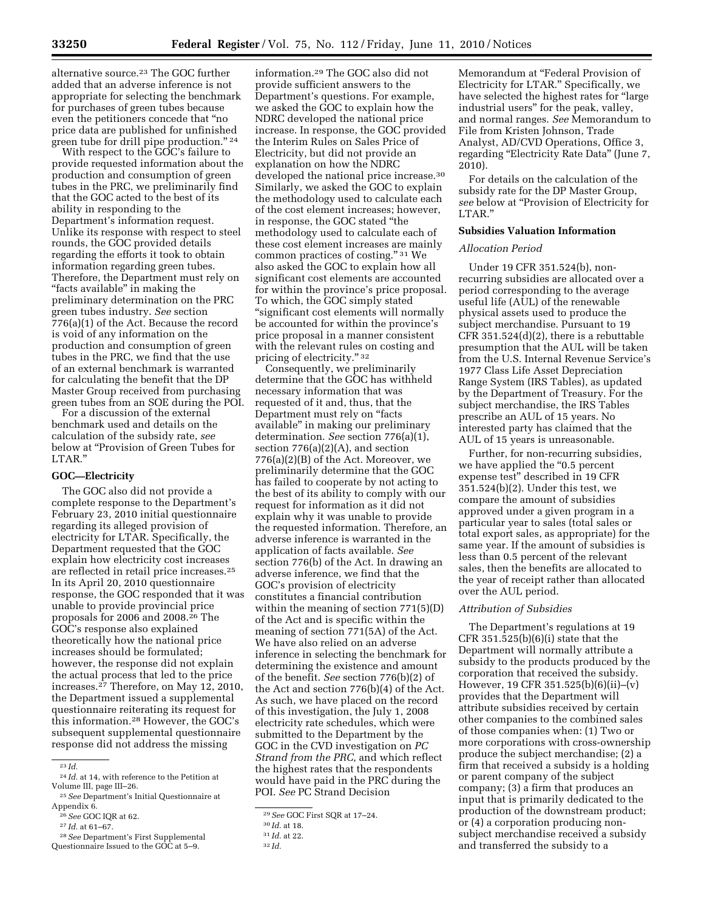alternative source.23 The GOC further added that an adverse inference is not appropriate for selecting the benchmark for purchases of green tubes because even the petitioners concede that ''no price data are published for unfinished green tube for drill pipe production." <sup>24</sup>

With respect to the GOC's failure to provide requested information about the production and consumption of green tubes in the PRC, we preliminarily find that the GOC acted to the best of its ability in responding to the Department's information request. Unlike its response with respect to steel rounds, the GOC provided details regarding the efforts it took to obtain information regarding green tubes. Therefore, the Department must rely on "facts available" in making the preliminary determination on the PRC green tubes industry. *See* section 776(a)(1) of the Act. Because the record is void of any information on the production and consumption of green tubes in the PRC, we find that the use of an external benchmark is warranted for calculating the benefit that the DP Master Group received from purchasing green tubes from an SOE during the POI.

For a discussion of the external benchmark used and details on the calculation of the subsidy rate, *see*  below at ''Provision of Green Tubes for LTAR.''

# **GOC—Electricity**

The GOC also did not provide a complete response to the Department's February 23, 2010 initial questionnaire regarding its alleged provision of electricity for LTAR. Specifically, the Department requested that the GOC explain how electricity cost increases are reflected in retail price increases.25 In its April 20, 2010 questionnaire response, the GOC responded that it was unable to provide provincial price proposals for 2006 and 2008.26 The GOC's response also explained theoretically how the national price increases should be formulated; however, the response did not explain the actual process that led to the price increases.27 Therefore, on May 12, 2010, the Department issued a supplemental questionnaire reiterating its request for this information.28 However, the GOC's subsequent supplemental questionnaire response did not address the missing

28*See* Department's First Supplemental Questionnaire Issued to the GOC at 5-9.

information.29 The GOC also did not provide sufficient answers to the Department's questions. For example, we asked the GOC to explain how the NDRC developed the national price increase. In response, the GOC provided the Interim Rules on Sales Price of Electricity, but did not provide an explanation on how the NDRC developed the national price increase.30 Similarly, we asked the GOC to explain the methodology used to calculate each of the cost element increases; however, in response, the GOC stated ''the methodology used to calculate each of these cost element increases are mainly common practices of costing." 31 We also asked the GOC to explain how all significant cost elements are accounted for within the province's price proposal. To which, the GOC simply stated ''significant cost elements will normally be accounted for within the province's price proposal in a manner consistent with the relevant rules on costing and pricing of electricity.'' 32

Consequently, we preliminarily determine that the GOC has withheld necessary information that was requested of it and, thus, that the Department must rely on "facts" available'' in making our preliminary determination. *See* section 776(a)(1), section  $776(a)(2)(A)$ , and section 776(a)(2)(B) of the Act. Moreover, we preliminarily determine that the GOC has failed to cooperate by not acting to the best of its ability to comply with our request for information as it did not explain why it was unable to provide the requested information. Therefore, an adverse inference is warranted in the application of facts available. *See*  section 776(b) of the Act. In drawing an adverse inference, we find that the GOC's provision of electricity constitutes a financial contribution within the meaning of section 771(5)(D) of the Act and is specific within the meaning of section 771(5A) of the Act. We have also relied on an adverse inference in selecting the benchmark for determining the existence and amount of the benefit. *See* section 776(b)(2) of the Act and section 776(b)(4) of the Act. As such, we have placed on the record of this investigation, the July 1, 2008 electricity rate schedules, which were submitted to the Department by the GOC in the CVD investigation on *PC Strand from the PRC,* and which reflect the highest rates that the respondents would have paid in the PRC during the POI. *See* PC Strand Decision

Memorandum at ''Federal Provision of Electricity for LTAR.'' Specifically, we have selected the highest rates for "large" industrial users'' for the peak, valley, and normal ranges. *See* Memorandum to File from Kristen Johnson, Trade Analyst, AD/CVD Operations, Office 3, regarding "Electricity Rate Data" (June 7, 2010).

For details on the calculation of the subsidy rate for the DP Master Group, *see* below at ''Provision of Electricity for LTAR.''

## **Subsidies Valuation Information**

### *Allocation Period*

Under 19 CFR 351.524(b), nonrecurring subsidies are allocated over a period corresponding to the average useful life (AUL) of the renewable physical assets used to produce the subject merchandise. Pursuant to 19 CFR 351.524(d)(2), there is a rebuttable presumption that the AUL will be taken from the U.S. Internal Revenue Service's 1977 Class Life Asset Depreciation Range System (IRS Tables), as updated by the Department of Treasury. For the subject merchandise, the IRS Tables prescribe an AUL of 15 years. No interested party has claimed that the AUL of 15 years is unreasonable.

Further, for non-recurring subsidies, we have applied the "0.5 percent" expense test'' described in 19 CFR 351.524(b)(2). Under this test, we compare the amount of subsidies approved under a given program in a particular year to sales (total sales or total export sales, as appropriate) for the same year. If the amount of subsidies is less than 0.5 percent of the relevant sales, then the benefits are allocated to the year of receipt rather than allocated over the AUL period.

### *Attribution of Subsidies*

The Department's regulations at 19 CFR  $351.525(b)(6)(i)$  state that the Department will normally attribute a subsidy to the products produced by the corporation that received the subsidy. However, 19 CFR 351.525(b)(6)(ii)–(v) provides that the Department will attribute subsidies received by certain other companies to the combined sales of those companies when: (1) Two or more corporations with cross-ownership produce the subject merchandise; (2) a firm that received a subsidy is a holding or parent company of the subject company; (3) a firm that produces an input that is primarily dedicated to the production of the downstream product; or (4) a corporation producing nonsubject merchandise received a subsidy and transferred the subsidy to a

<sup>23</sup> *Id.* 

<sup>24</sup> *Id.* at 14, with reference to the Petition at Volume III, page III–26.

<sup>25</sup>*See* Department's Initial Questionnaire at Appendix 6.

<sup>26</sup>*See* GOC IQR at 62.

<sup>27</sup> *Id.* at 61–67.

<sup>29</sup>*See* GOC First SQR at 17–24.

<sup>30</sup> *Id.* at 18.

<sup>31</sup> *Id.* at 22.

<sup>32</sup> *Id.*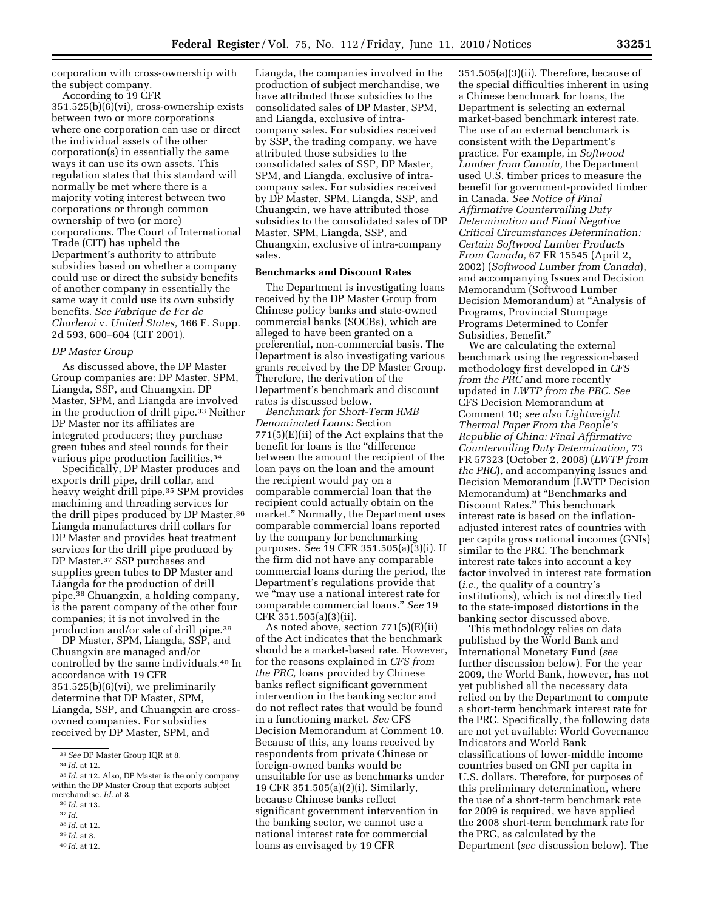corporation with cross-ownership with the subject company.

According to 19 CFR 351.525(b)(6)(vi), cross-ownership exists between two or more corporations where one corporation can use or direct the individual assets of the other corporation(s) in essentially the same ways it can use its own assets. This regulation states that this standard will normally be met where there is a majority voting interest between two corporations or through common ownership of two (or more) corporations. The Court of International Trade (CIT) has upheld the Department's authority to attribute subsidies based on whether a company could use or direct the subsidy benefits of another company in essentially the same way it could use its own subsidy benefits. *See Fabrique de Fer de Charleroi* v. *United States,* 166 F. Supp. 2d 593, 600–604 (CIT 2001).

## *DP Master Group*

As discussed above, the DP Master Group companies are: DP Master, SPM, Liangda, SSP, and Chuangxin. DP Master, SPM, and Liangda are involved in the production of drill pipe.33 Neither DP Master nor its affiliates are integrated producers; they purchase green tubes and steel rounds for their various pipe production facilities.34

Specifically, DP Master produces and exports drill pipe, drill collar, and heavy weight drill pipe.35 SPM provides machining and threading services for the drill pipes produced by DP Master.36 Liangda manufactures drill collars for DP Master and provides heat treatment services for the drill pipe produced by DP Master.37 SSP purchases and supplies green tubes to DP Master and Liangda for the production of drill pipe.38 Chuangxin, a holding company, is the parent company of the other four companies; it is not involved in the production and/or sale of drill pipe.39

DP Master, SPM, Liangda, SSP, and Chuangxin are managed and/or controlled by the same individuals.40 In accordance with 19 CFR 351.525(b)(6)(vi), we preliminarily determine that DP Master, SPM, Liangda, SSP, and Chuangxin are crossowned companies. For subsidies received by DP Master, SPM, and

38 *Id.* at 12.

Liangda, the companies involved in the production of subject merchandise, we have attributed those subsidies to the consolidated sales of DP Master, SPM, and Liangda, exclusive of intracompany sales. For subsidies received by SSP, the trading company, we have attributed those subsidies to the consolidated sales of SSP, DP Master, SPM, and Liangda, exclusive of intracompany sales. For subsidies received by DP Master, SPM, Liangda, SSP, and Chuangxin, we have attributed those subsidies to the consolidated sales of DP Master, SPM, Liangda, SSP, and Chuangxin, exclusive of intra-company sales.

# **Benchmarks and Discount Rates**

The Department is investigating loans received by the DP Master Group from Chinese policy banks and state-owned commercial banks (SOCBs), which are alleged to have been granted on a preferential, non-commercial basis. The Department is also investigating various grants received by the DP Master Group. Therefore, the derivation of the Department's benchmark and discount rates is discussed below.

*Benchmark for Short-Term RMB Denominated Loans:* Section 771(5)(E)(ii) of the Act explains that the benefit for loans is the ''difference between the amount the recipient of the loan pays on the loan and the amount the recipient would pay on a comparable commercial loan that the recipient could actually obtain on the market.'' Normally, the Department uses comparable commercial loans reported by the company for benchmarking purposes. *See* 19 CFR 351.505(a)(3)(i). If the firm did not have any comparable commercial loans during the period, the Department's regulations provide that we ''may use a national interest rate for comparable commercial loans.'' *See* 19 CFR 351.505(a)(3)(ii).

As noted above, section 771(5)(E)(ii) of the Act indicates that the benchmark should be a market-based rate. However, for the reasons explained in *CFS from the PRC,* loans provided by Chinese banks reflect significant government intervention in the banking sector and do not reflect rates that would be found in a functioning market. *See* CFS Decision Memorandum at Comment 10. Because of this, any loans received by respondents from private Chinese or foreign-owned banks would be unsuitable for use as benchmarks under 19 CFR 351.505(a)(2)(i). Similarly, because Chinese banks reflect significant government intervention in the banking sector, we cannot use a national interest rate for commercial loans as envisaged by 19 CFR

351.505(a)(3)(ii). Therefore, because of the special difficulties inherent in using a Chinese benchmark for loans, the Department is selecting an external market-based benchmark interest rate. The use of an external benchmark is consistent with the Department's practice. For example, in *Softwood Lumber from Canada,* the Department used U.S. timber prices to measure the benefit for government-provided timber in Canada. *See Notice of Final Affirmative Countervailing Duty Determination and Final Negative Critical Circumstances Determination: Certain Softwood Lumber Products From Canada,* 67 FR 15545 (April 2, 2002) (*Softwood Lumber from Canada*), and accompanying Issues and Decision Memorandum (Softwood Lumber Decision Memorandum) at ''Analysis of Programs, Provincial Stumpage Programs Determined to Confer Subsidies, Benefit.''

We are calculating the external benchmark using the regression-based methodology first developed in *CFS from the PRC* and more recently updated in *LWTP from the PRC. See*  CFS Decision Memorandum at Comment 10; *see also Lightweight Thermal Paper From the People's Republic of China: Final Affirmative Countervailing Duty Determination,* 73 FR 57323 (October 2, 2008) (*LWTP from the PRC*), and accompanying Issues and Decision Memorandum (LWTP Decision Memorandum) at ''Benchmarks and Discount Rates.'' This benchmark interest rate is based on the inflationadjusted interest rates of countries with per capita gross national incomes (GNIs) similar to the PRC. The benchmark interest rate takes into account a key factor involved in interest rate formation (*i.e.,* the quality of a country's institutions), which is not directly tied to the state-imposed distortions in the banking sector discussed above.

This methodology relies on data published by the World Bank and International Monetary Fund (*see*  further discussion below). For the year 2009, the World Bank, however, has not yet published all the necessary data relied on by the Department to compute a short-term benchmark interest rate for the PRC. Specifically, the following data are not yet available: World Governance Indicators and World Bank classifications of lower-middle income countries based on GNI per capita in U.S. dollars. Therefore, for purposes of this preliminary determination, where the use of a short-term benchmark rate for 2009 is required, we have applied the 2008 short-term benchmark rate for the PRC, as calculated by the Department (*see* discussion below). The

<sup>33</sup>*See* DP Master Group IQR at 8.

<sup>34</sup> *Id.* at 12.

<sup>35</sup> *Id.* at 12. Also, DP Master is the only company within the DP Master Group that exports subject merchandise. *Id.* at 8.

<sup>36</sup> *Id.* at 13.

<sup>37</sup> *Id.* 

<sup>39</sup> *Id.* at 8.

<sup>40</sup> *Id.* at 12.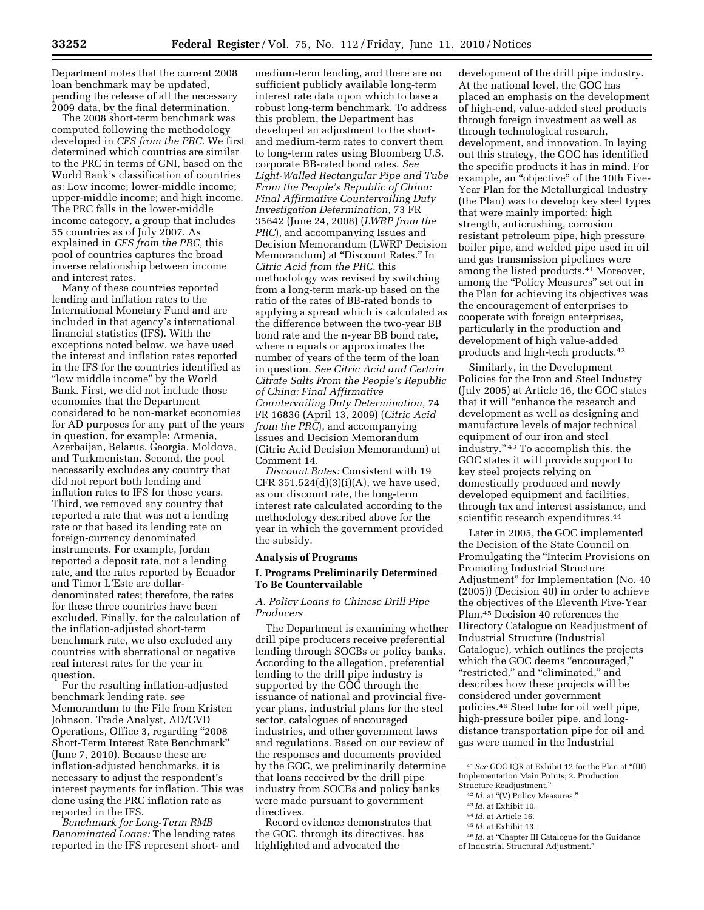Department notes that the current 2008 loan benchmark may be updated, pending the release of all the necessary 2009 data, by the final determination.

The 2008 short-term benchmark was computed following the methodology developed in *CFS from the PRC.* We first determined which countries are similar to the PRC in terms of GNI, based on the World Bank's classification of countries as: Low income; lower-middle income; upper-middle income; and high income. The PRC falls in the lower-middle income category, a group that includes 55 countries as of July 2007. As explained in *CFS from the PRC,* this pool of countries captures the broad inverse relationship between income and interest rates.

Many of these countries reported lending and inflation rates to the International Monetary Fund and are included in that agency's international financial statistics (IFS). With the exceptions noted below, we have used the interest and inflation rates reported in the IFS for the countries identified as ''low middle income'' by the World Bank. First, we did not include those economies that the Department considered to be non-market economies for AD purposes for any part of the years in question, for example: Armenia, Azerbaijan, Belarus, Georgia, Moldova, and Turkmenistan. Second, the pool necessarily excludes any country that did not report both lending and inflation rates to IFS for those years. Third, we removed any country that reported a rate that was not a lending rate or that based its lending rate on foreign-currency denominated instruments. For example, Jordan reported a deposit rate, not a lending rate, and the rates reported by Ecuador and Timor L'Este are dollardenominated rates; therefore, the rates for these three countries have been excluded. Finally, for the calculation of the inflation-adjusted short-term benchmark rate, we also excluded any countries with aberrational or negative real interest rates for the year in question.

For the resulting inflation-adjusted benchmark lending rate, *see*  Memorandum to the File from Kristen Johnson, Trade Analyst, AD/CVD Operations, Office 3, regarding ''2008 Short-Term Interest Rate Benchmark'' (June 7, 2010). Because these are inflation-adjusted benchmarks, it is necessary to adjust the respondent's interest payments for inflation. This was done using the PRC inflation rate as reported in the IFS.

*Benchmark for Long-Term RMB Denominated Loans:* The lending rates reported in the IFS represent short- and

medium-term lending, and there are no sufficient publicly available long-term interest rate data upon which to base a robust long-term benchmark. To address this problem, the Department has developed an adjustment to the shortand medium-term rates to convert them to long-term rates using Bloomberg U.S. corporate BB-rated bond rates. *See Light-Walled Rectangular Pipe and Tube From the People's Republic of China: Final Affirmative Countervailing Duty Investigation Determination,* 73 FR 35642 (June 24, 2008) (*LWRP from the PRC*), and accompanying Issues and Decision Memorandum (LWRP Decision Memorandum) at ''Discount Rates.'' In *Citric Acid from the PRC,* this methodology was revised by switching from a long-term mark-up based on the ratio of the rates of BB-rated bonds to applying a spread which is calculated as the difference between the two-year BB bond rate and the n-year BB bond rate, where n equals or approximates the number of years of the term of the loan in question. *See Citric Acid and Certain Citrate Salts From the People's Republic of China: Final Affirmative Countervailing Duty Determination,* 74 FR 16836 (April 13, 2009) (*Citric Acid from the PRC*), and accompanying Issues and Decision Memorandum (Citric Acid Decision Memorandum) at Comment 14.

*Discount Rates:* Consistent with 19 CFR 351.524(d)(3)(i)(A), we have used, as our discount rate, the long-term interest rate calculated according to the methodology described above for the year in which the government provided the subsidy.

#### **Analysis of Programs**

## **I. Programs Preliminarily Determined To Be Countervailable**

## *A. Policy Loans to Chinese Drill Pipe Producers*

The Department is examining whether drill pipe producers receive preferential lending through SOCBs or policy banks. According to the allegation, preferential lending to the drill pipe industry is supported by the GOC through the issuance of national and provincial fiveyear plans, industrial plans for the steel sector, catalogues of encouraged industries, and other government laws and regulations. Based on our review of the responses and documents provided by the GOC, we preliminarily determine that loans received by the drill pipe industry from SOCBs and policy banks were made pursuant to government directives.

Record evidence demonstrates that the GOC, through its directives, has highlighted and advocated the

development of the drill pipe industry. At the national level, the GOC has placed an emphasis on the development of high-end, value-added steel products through foreign investment as well as through technological research, development, and innovation. In laying out this strategy, the GOC has identified the specific products it has in mind. For example, an "objective" of the 10th Five-Year Plan for the Metallurgical Industry (the Plan) was to develop key steel types that were mainly imported; high strength, anticrushing, corrosion resistant petroleum pipe, high pressure boiler pipe, and welded pipe used in oil and gas transmission pipelines were among the listed products.41 Moreover, among the "Policy Measures" set out in the Plan for achieving its objectives was the encouragement of enterprises to cooperate with foreign enterprises, particularly in the production and development of high value-added products and high-tech products.42

Similarly, in the Development Policies for the Iron and Steel Industry (July 2005) at Article 16, the GOC states that it will ''enhance the research and development as well as designing and manufacture levels of major technical equipment of our iron and steel industry.'' 43 To accomplish this, the GOC states it will provide support to key steel projects relying on domestically produced and newly developed equipment and facilities, through tax and interest assistance, and scientific research expenditures.<sup>44</sup>

Later in 2005, the GOC implemented the Decision of the State Council on Promulgating the ''Interim Provisions on Promoting Industrial Structure Adjustment'' for Implementation (No. 40 (2005)) (Decision 40) in order to achieve the objectives of the Eleventh Five-Year Plan.45 Decision 40 references the Directory Catalogue on Readjustment of Industrial Structure (Industrial Catalogue), which outlines the projects which the GOC deems "encouraged," ''restricted,'' and ''eliminated,'' and describes how these projects will be considered under government policies.46 Steel tube for oil well pipe, high-pressure boiler pipe, and longdistance transportation pipe for oil and gas were named in the Industrial

41*See* GOC IQR at Exhibit 12 for the Plan at ''(III) Implementation Main Points; 2. Production Structure Readjustment.''

- 44 *Id.* at Article 16.
- 45 *Id.* at Exhibit 13.

<sup>&</sup>lt;sup>42</sup> Id. at "(V) Policy Measures."

<sup>43</sup> *Id.* at Exhibit 10.

<sup>&</sup>lt;sup>46</sup> *Id.* at "Chapter III Catalogue for the Guidance of Industrial Structural Adjustment.''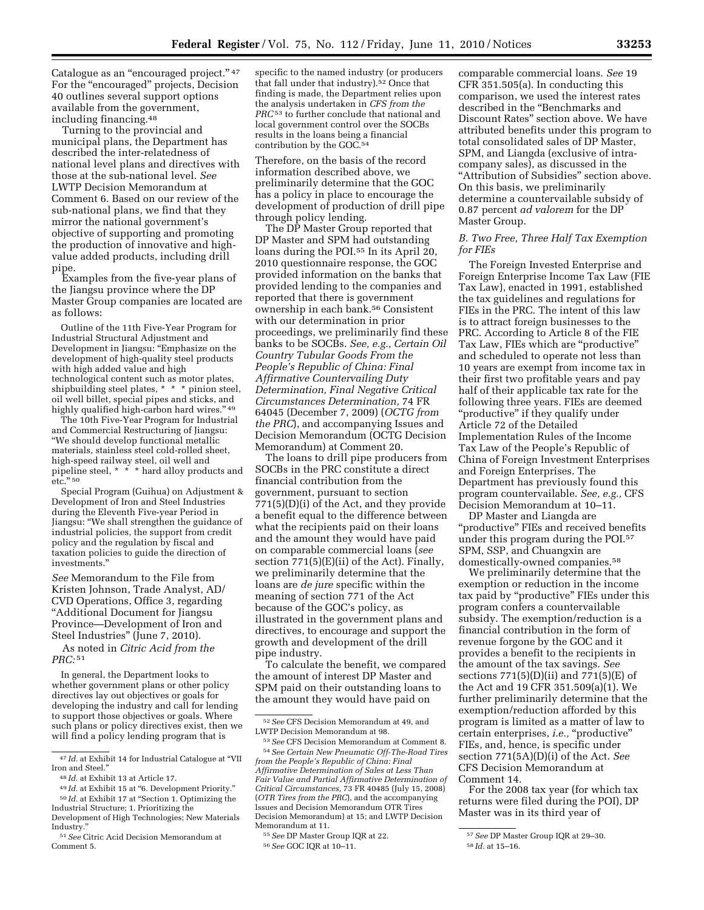Catalogue as an "encouraged project."<sup>47</sup> For the "encouraged" projects, Decision 40 outlines several support options available from the government, including financing.48

Turning to the provincial and municipal plans, the Department has described the inter-relatedness of national level plans and directives with those at the sub-national level. *See*  LWTP Decision Memorandum at Comment 6. Based on our review of the sub-national plans, we find that they mirror the national government's objective of supporting and promoting the production of innovative and highvalue added products, including drill pipe.

Examples from the five-year plans of the Jiangsu province where the DP Master Group companies are located are as follows:

Outline of the 11th Five-Year Program for Industrial Structural Adjustment and Development in Jiangsu: ''Emphasize on the development of high-quality steel products with high added value and high technological content such as motor plates, shipbuilding steel plates, \* \* \* pinion steel, oil well billet, special pipes and sticks, and highly qualified high-carbon hard wires." 49

The 10th Five-Year Program for Industrial and Commercial Restructuring of Jiangsu: ''We should develop functional metallic materials, stainless steel cold-rolled sheet, high-speed railway steel, oil well and pipeline steel, \* \* \* hard alloy products and etc."  $^{\rm 50}$ 

Special Program (Guihua) on Adjustment & Development of Iron and Steel Industries during the Eleventh Five-year Period in Jiangsu: ''We shall strengthen the guidance of industrial policies, the support from credit policy and the regulation by fiscal and taxation policies to guide the direction of investments.''

*See* Memorandum to the File from Kristen Johnson, Trade Analyst, AD/ CVD Operations, Office 3, regarding ''Additional Document for Jiangsu Province—Development of Iron and Steel Industries" (June 7, 2010).

As noted in *Citric Acid from the PRC:* 51

In general, the Department looks to whether government plans or other policy directives lay out objectives or goals for developing the industry and call for lending to support those objectives or goals. Where such plans or policy directives exist, then we will find a policy lending program that is

specific to the named industry (or producers that fall under that industry).<sup>52</sup> Once that finding is made, the Department relies upon the analysis undertaken in *CFS from the PRC*53 to further conclude that national and local government control over the SOCBs results in the loans being a financial contribution by the GOC.54

Therefore, on the basis of the record information described above, we preliminarily determine that the GOC has a policy in place to encourage the development of production of drill pipe through policy lending.

The DP Master Group reported that DP Master and SPM had outstanding loans during the POI.<sup>55</sup> In its April  $20$ , 2010 questionnaire response, the GOC provided information on the banks that provided lending to the companies and reported that there is government ownership in each bank.56 Consistent with our determination in prior proceedings, we preliminarily find these banks to be SOCBs. *See, e.g., Certain Oil Country Tubular Goods From the People's Republic of China: Final Affirmative Countervailing Duty Determination, Final Negative Critical Circumstances Determination,* 74 FR 64045 (December 7, 2009) (*OCTG from the PRC*), and accompanying Issues and Decision Memorandum (OCTG Decision Memorandum) at Comment 20.

The loans to drill pipe producers from SOCBs in the PRC constitute a direct financial contribution from the government, pursuant to section 771(5)(D)(i) of the Act, and they provide a benefit equal to the difference between what the recipients paid on their loans and the amount they would have paid on comparable commercial loans (*see*  section 771(5)(E)(ii) of the Act). Finally, we preliminarily determine that the loans are *de jure* specific within the meaning of section 771 of the Act because of the GOC's policy, as illustrated in the government plans and directives, to encourage and support the growth and development of the drill pipe industry.

To calculate the benefit, we compared the amount of interest DP Master and SPM paid on their outstanding loans to the amount they would have paid on

55*See* DP Master Group IQR at 22. 56*See* GOC IQR at 10–11.

comparable commercial loans. *See* 19 CFR 351.505(a). In conducting this comparison, we used the interest rates described in the ''Benchmarks and Discount Rates'' section above. We have attributed benefits under this program to total consolidated sales of DP Master, SPM, and Liangda (exclusive of intracompany sales), as discussed in the "Attribution of Subsidies" section above. On this basis, we preliminarily determine a countervailable subsidy of 0.87 percent *ad valorem* for the DP Master Group.

## *B. Two Free, Three Half Tax Exemption for FIEs*

The Foreign Invested Enterprise and Foreign Enterprise Income Tax Law (FIE Tax Law), enacted in 1991, established the tax guidelines and regulations for FIEs in the PRC. The intent of this law is to attract foreign businesses to the PRC. According to Article 8 of the FIE Tax Law, FIEs which are ''productive'' and scheduled to operate not less than 10 years are exempt from income tax in their first two profitable years and pay half of their applicable tax rate for the following three years. FIEs are deemed ''productive'' if they qualify under Article 72 of the Detailed Implementation Rules of the Income Tax Law of the People's Republic of China of Foreign Investment Enterprises and Foreign Enterprises. The Department has previously found this program countervailable. *See, e.g.,* CFS Decision Memorandum at 10–11.

DP Master and Liangda are 'productive" FIEs and received benefits under this program during the POI.57 SPM, SSP, and Chuangxin are domestically-owned companies.58

We preliminarily determine that the exemption or reduction in the income tax paid by ''productive'' FIEs under this program confers a countervailable subsidy. The exemption/reduction is a financial contribution in the form of revenue forgone by the GOC and it provides a benefit to the recipients in the amount of the tax savings. *See*  sections  $771(5)(D)(ii)$  and  $771(5)(E)$  of the Act and 19 CFR 351.509(a)(1). We further preliminarily determine that the exemption/reduction afforded by this program is limited as a matter of law to certain enterprises, *i.e.*, "productive" FIEs, and, hence, is specific under section 771(5A)(D)(i) of the Act. *See*  CFS Decision Memorandum at Comment 14.

For the 2008 tax year (for which tax returns were filed during the POI), DP Master was in its third year of

<sup>47</sup> *Id.* at Exhibit 14 for Industrial Catalogue at ''VII Iron and Steel.''

<sup>48</sup> *Id.* at Exhibit 13 at Article 17.

<sup>&</sup>lt;sup>49</sup> Id. at Exhibit 15 at "6. Development Priority."  $^{50}\,Id.$  at Exhibit 17 at "Section 1. Optimizing the Industrial Structure; 1. Prioritizing the

Development of High Technologies; New Materials Industry.''

<sup>51</sup>*See* Citric Acid Decision Memorandum at Comment 5.

<sup>52</sup>*See* CFS Decision Memorandum at 49, and LWTP Decision Memorandum at 98.

<sup>53</sup>*See* CFS Decision Memorandum at Comment 8. 54*See Certain New Pneumatic Off-The-Road Tires* 

*from the People's Republic of China: Final Affirmative Determination of Sales at Less Than Fair Value and Partial Affirmative Determination of Critical Circumstances,* 73 FR 40485 (July 15, 2008) (*OTR Tires from the PRC*), and the accompanying Issues and Decision Memorandum OTR Tires Decision Memorandum) at 15; and LWTP Decision Memorandum at 11.

<sup>57</sup>*See* DP Master Group IQR at 29–30.

<sup>58</sup> *Id.* at 15–16.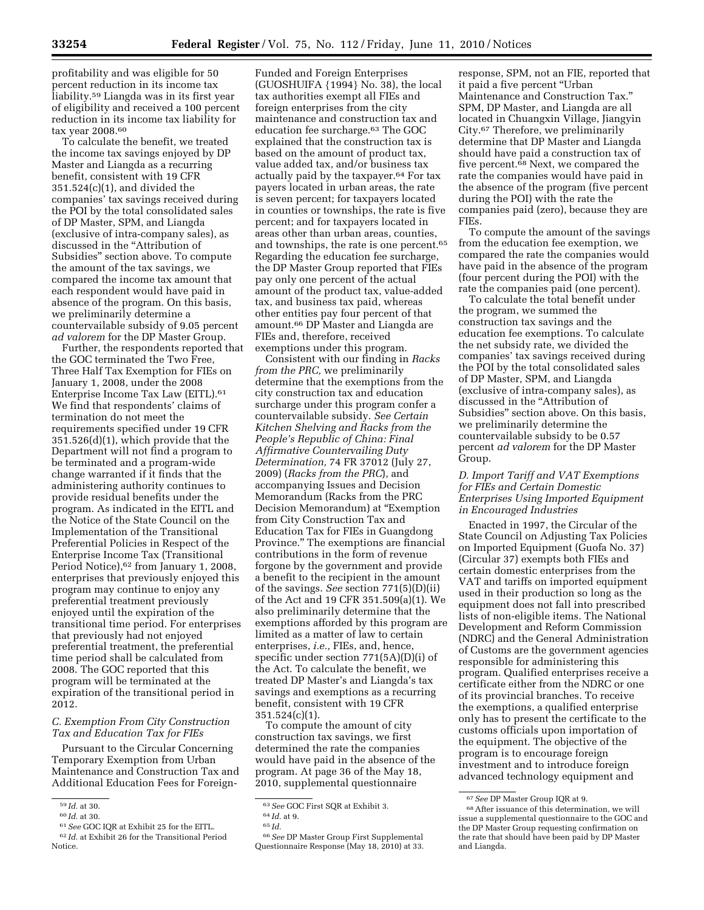profitability and was eligible for 50 percent reduction in its income tax liability.59 Liangda was in its first year of eligibility and received a 100 percent reduction in its income tax liability for tax year 2008.60

To calculate the benefit, we treated the income tax savings enjoyed by DP Master and Liangda as a recurring benefit, consistent with 19 CFR 351.524(c)(1), and divided the companies' tax savings received during the POI by the total consolidated sales of DP Master, SPM, and Liangda (exclusive of intra-company sales), as discussed in the ''Attribution of Subsidies'' section above. To compute the amount of the tax savings, we compared the income tax amount that each respondent would have paid in absence of the program. On this basis, we preliminarily determine a countervailable subsidy of 9.05 percent *ad valorem* for the DP Master Group.

Further, the respondents reported that the GOC terminated the Two Free, Three Half Tax Exemption for FIEs on January 1, 2008, under the 2008 Enterprise Income Tax Law (EITL).61 We find that respondents' claims of termination do not meet the requirements specified under 19 CFR 351.526(d)(1), which provide that the Department will not find a program to be terminated and a program-wide change warranted if it finds that the administering authority continues to provide residual benefits under the program. As indicated in the EITL and the Notice of the State Council on the Implementation of the Transitional Preferential Policies in Respect of the Enterprise Income Tax (Transitional Period Notice), 62 from January 1, 2008, enterprises that previously enjoyed this program may continue to enjoy any preferential treatment previously enjoyed until the expiration of the transitional time period. For enterprises that previously had not enjoyed preferential treatment, the preferential time period shall be calculated from 2008. The GOC reported that this program will be terminated at the expiration of the transitional period in 2012.

# *C. Exemption From City Construction Tax and Education Tax for FIEs*

Pursuant to the Circular Concerning Temporary Exemption from Urban Maintenance and Construction Tax and Additional Education Fees for Foreign-

Funded and Foreign Enterprises (GUOSHUIFA {1994} No. 38), the local tax authorities exempt all FIEs and foreign enterprises from the city maintenance and construction tax and education fee surcharge.63 The GOC explained that the construction tax is based on the amount of product tax, value added tax, and/or business tax actually paid by the taxpayer.64 For tax payers located in urban areas, the rate is seven percent; for taxpayers located in counties or townships, the rate is five percent; and for taxpayers located in areas other than urban areas, counties, and townships, the rate is one percent.65 Regarding the education fee surcharge, the DP Master Group reported that FIEs pay only one percent of the actual amount of the product tax, value-added tax, and business tax paid, whereas other entities pay four percent of that amount.66 DP Master and Liangda are FIEs and, therefore, received exemptions under this program.

Consistent with our finding in *Racks from the PRC,* we preliminarily determine that the exemptions from the city construction tax and education surcharge under this program confer a countervailable subsidy. *See Certain Kitchen Shelving and Racks from the People's Republic of China: Final Affirmative Countervailing Duty Determination,* 74 FR 37012 (July 27, 2009) (*Racks from the PRC*), and accompanying Issues and Decision Memorandum (Racks from the PRC Decision Memorandum) at ''Exemption from City Construction Tax and Education Tax for FIEs in Guangdong Province.'' The exemptions are financial contributions in the form of revenue forgone by the government and provide a benefit to the recipient in the amount of the savings. *See* section 771(5)(D)(ii) of the Act and 19 CFR 351.509(a)(1). We also preliminarily determine that the exemptions afforded by this program are limited as a matter of law to certain enterprises, *i.e.,* FIEs, and, hence, specific under section 771(5A)(D)(i) of the Act. To calculate the benefit, we treated DP Master's and Liangda's tax savings and exemptions as a recurring benefit, consistent with 19 CFR  $351.524(c)(1)$ .

To compute the amount of city construction tax savings, we first determined the rate the companies would have paid in the absence of the program. At page 36 of the May 18, 2010, supplemental questionnaire

response, SPM, not an FIE, reported that it paid a five percent ''Urban Maintenance and Construction Tax.'' SPM, DP Master, and Liangda are all located in Chuangxin Village, Jiangyin City.67 Therefore, we preliminarily determine that DP Master and Liangda should have paid a construction tax of five percent.68 Next, we compared the rate the companies would have paid in the absence of the program (five percent during the POI) with the rate the companies paid (zero), because they are FIEs.

To compute the amount of the savings from the education fee exemption, we compared the rate the companies would have paid in the absence of the program (four percent during the POI) with the rate the companies paid (one percent).

To calculate the total benefit under the program, we summed the construction tax savings and the education fee exemptions. To calculate the net subsidy rate, we divided the companies' tax savings received during the POI by the total consolidated sales of DP Master, SPM, and Liangda (exclusive of intra-company sales), as discussed in the ''Attribution of Subsidies'' section above. On this basis, we preliminarily determine the countervailable subsidy to be 0.57 percent *ad valorem* for the DP Master Group.

## *D. Import Tariff and VAT Exemptions for FIEs and Certain Domestic Enterprises Using Imported Equipment in Encouraged Industries*

Enacted in 1997, the Circular of the State Council on Adjusting Tax Policies on Imported Equipment (Guofa No. 37) (Circular 37) exempts both FIEs and certain domestic enterprises from the VAT and tariffs on imported equipment used in their production so long as the equipment does not fall into prescribed lists of non-eligible items. The National Development and Reform Commission (NDRC) and the General Administration of Customs are the government agencies responsible for administering this program. Qualified enterprises receive a certificate either from the NDRC or one of its provincial branches. To receive the exemptions, a qualified enterprise only has to present the certificate to the customs officials upon importation of the equipment. The objective of the program is to encourage foreign investment and to introduce foreign advanced technology equipment and

<sup>59</sup> *Id.* at 30.

<sup>60</sup> *Id.* at 30.

<sup>61</sup>*See* GOC IQR at Exhibit 25 for the EITL.

<sup>62</sup> *Id.* at Exhibit 26 for the Transitional Period Notice.

<sup>63</sup>*See* GOC First SQR at Exhibit 3.

<sup>64</sup> *Id.* at 9.

<sup>65</sup> *Id.* 

<sup>66</sup>*See* DP Master Group First Supplemental Questionnaire Response (May 18, 2010) at 33.

<sup>67</sup>*See* DP Master Group IQR at 9.

<sup>68</sup>After issuance of this determination, we will issue a supplemental questionnaire to the GOC and the DP Master Group requesting confirmation on the rate that should have been paid by DP Master and Liangda.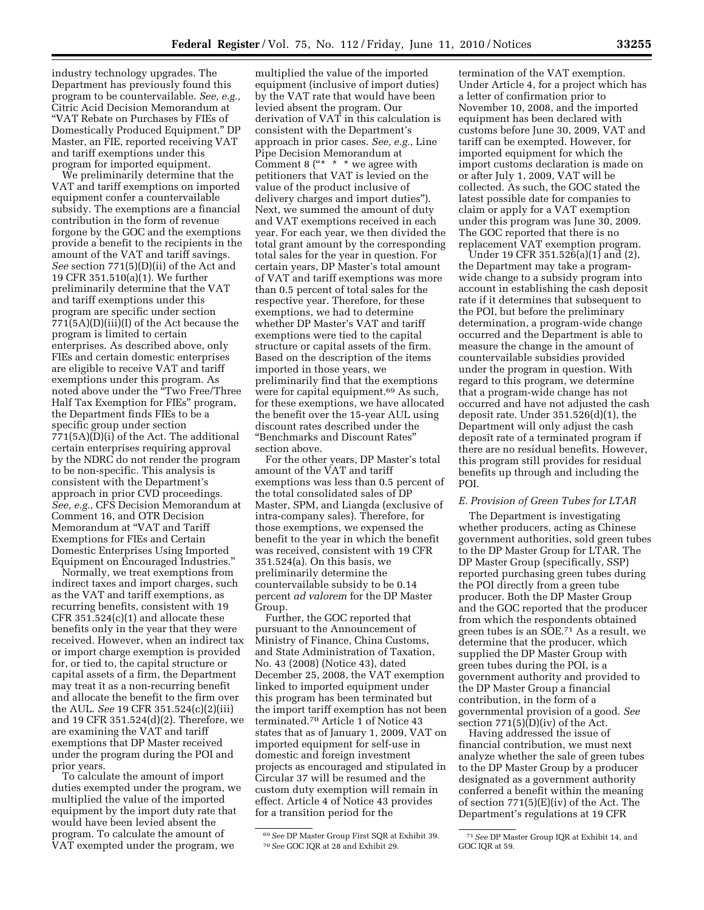industry technology upgrades. The Department has previously found this program to be countervailable. *See, e.g.,*  Citric Acid Decision Memorandum at ''VAT Rebate on Purchases by FIEs of Domestically Produced Equipment.'' DP Master, an FIE, reported receiving VAT and tariff exemptions under this program for imported equipment.

We preliminarily determine that the VAT and tariff exemptions on imported equipment confer a countervailable subsidy. The exemptions are a financial contribution in the form of revenue forgone by the GOC and the exemptions provide a benefit to the recipients in the amount of the VAT and tariff savings. *See* section 771(5)(D)(ii) of the Act and 19 CFR 351.510(a)(1). We further preliminarily determine that the VAT and tariff exemptions under this program are specific under section 771(5A)(D)(iii)(I) of the Act because the program is limited to certain enterprises. As described above, only FIEs and certain domestic enterprises are eligible to receive VAT and tariff exemptions under this program. As noted above under the ''Two Free/Three Half Tax Exemption for FIEs'' program, the Department finds FIEs to be a specific group under section 771(5A)(D)(i) of the Act. The additional certain enterprises requiring approval by the NDRC do not render the program to be non-specific. This analysis is consistent with the Department's approach in prior CVD proceedings. *See, e.g.,* CFS Decision Memorandum at Comment 16, and OTR Decision Memorandum at ''VAT and Tariff Exemptions for FIEs and Certain Domestic Enterprises Using Imported Equipment on Encouraged Industries.''

Normally, we treat exemptions from indirect taxes and import charges, such as the VAT and tariff exemptions, as recurring benefits, consistent with 19  $CFR 351.524(c)(1)$  and allocate these benefits only in the year that they were received. However, when an indirect tax or import charge exemption is provided for, or tied to, the capital structure or capital assets of a firm, the Department may treat it as a non-recurring benefit and allocate the benefit to the firm over the AUL. *See* 19 CFR 351.524(c)(2)(iii) and 19 CFR 351.524(d)(2). Therefore, we are examining the VAT and tariff exemptions that DP Master received under the program during the POI and prior years.

To calculate the amount of import duties exempted under the program, we multiplied the value of the imported equipment by the import duty rate that would have been levied absent the program. To calculate the amount of VAT exempted under the program, we

multiplied the value of the imported equipment (inclusive of import duties) by the VAT rate that would have been levied absent the program. Our derivation of VAT in this calculation is consistent with the Department's approach in prior cases. *See, e.g.,* Line Pipe Decision Memorandum at Comment 8 ("\*  $*$  \* we agree with petitioners that VAT is levied on the value of the product inclusive of delivery charges and import duties''). Next, we summed the amount of duty and VAT exemptions received in each year. For each year, we then divided the total grant amount by the corresponding total sales for the year in question. For certain years, DP Master's total amount of VAT and tariff exemptions was more than 0.5 percent of total sales for the respective year. Therefore, for these exemptions, we had to determine whether DP Master's VAT and tariff exemptions were tied to the capital structure or capital assets of the firm. Based on the description of the items imported in those years, we preliminarily find that the exemptions were for capital equipment.69 As such, for these exemptions, we have allocated the benefit over the 15-year AUL using discount rates described under the ''Benchmarks and Discount Rates'' section above.

For the other years, DP Master's total amount of the VAT and tariff exemptions was less than 0.5 percent of the total consolidated sales of DP Master, SPM, and Liangda (exclusive of intra-company sales). Therefore, for those exemptions, we expensed the benefit to the year in which the benefit was received, consistent with 19 CFR 351.524(a). On this basis, we preliminarily determine the countervailable subsidy to be 0.14 percent *ad valorem* for the DP Master Group.

Further, the GOC reported that pursuant to the Announcement of Ministry of Finance, China Customs, and State Administration of Taxation, No. 43 (2008) (Notice 43), dated December 25, 2008, the VAT exemption linked to imported equipment under this program has been terminated but the import tariff exemption has not been terminated.70 Article 1 of Notice 43 states that as of January 1, 2009, VAT on imported equipment for self-use in domestic and foreign investment projects as encouraged and stipulated in Circular 37 will be resumed and the custom duty exemption will remain in effect. Article 4 of Notice 43 provides for a transition period for the

termination of the VAT exemption. Under Article 4, for a project which has a letter of confirmation prior to November 10, 2008, and the imported equipment has been declared with customs before June 30, 2009, VAT and tariff can be exempted. However, for imported equipment for which the import customs declaration is made on or after July 1, 2009, VAT will be collected. As such, the GOC stated the latest possible date for companies to claim or apply for a VAT exemption under this program was June 30, 2009. The GOC reported that there is no replacement VAT exemption program.

Under 19 CFR 351.52 $\bar{6}$ (a)(1) and (2), the Department may take a programwide change to a subsidy program into account in establishing the cash deposit rate if it determines that subsequent to the POI, but before the preliminary determination, a program-wide change occurred and the Department is able to measure the change in the amount of countervailable subsidies provided under the program in question. With regard to this program, we determine that a program-wide change has not occurred and have not adjusted the cash deposit rate. Under 351.526(d)(1), the Department will only adjust the cash deposit rate of a terminated program if there are no residual benefits. However, this program still provides for residual benefits up through and including the POI.

## *E. Provision of Green Tubes for LTAR*

The Department is investigating whether producers, acting as Chinese government authorities, sold green tubes to the DP Master Group for LTAR. The DP Master Group (specifically, SSP) reported purchasing green tubes during the POI directly from a green tube producer. Both the DP Master Group and the GOC reported that the producer from which the respondents obtained green tubes is an SOE.71 As a result, we determine that the producer, which supplied the DP Master Group with green tubes during the POI, is a government authority and provided to the DP Master Group a financial contribution, in the form of a governmental provision of a good. *See*  section  $771(5)(D)(iv)$  of the Act.

Having addressed the issue of financial contribution, we must next analyze whether the sale of green tubes to the DP Master Group by a producer designated as a government authority conferred a benefit within the meaning of section 771(5)(E)(iv) of the Act. The Department's regulations at 19 CFR

<sup>69</sup>*See* DP Master Group First SQR at Exhibit 39. 70*See* GOC IQR at 28 and Exhibit 29.

<sup>71</sup>*See* DP Master Group IQR at Exhibit 14, and GOC IQR at 59.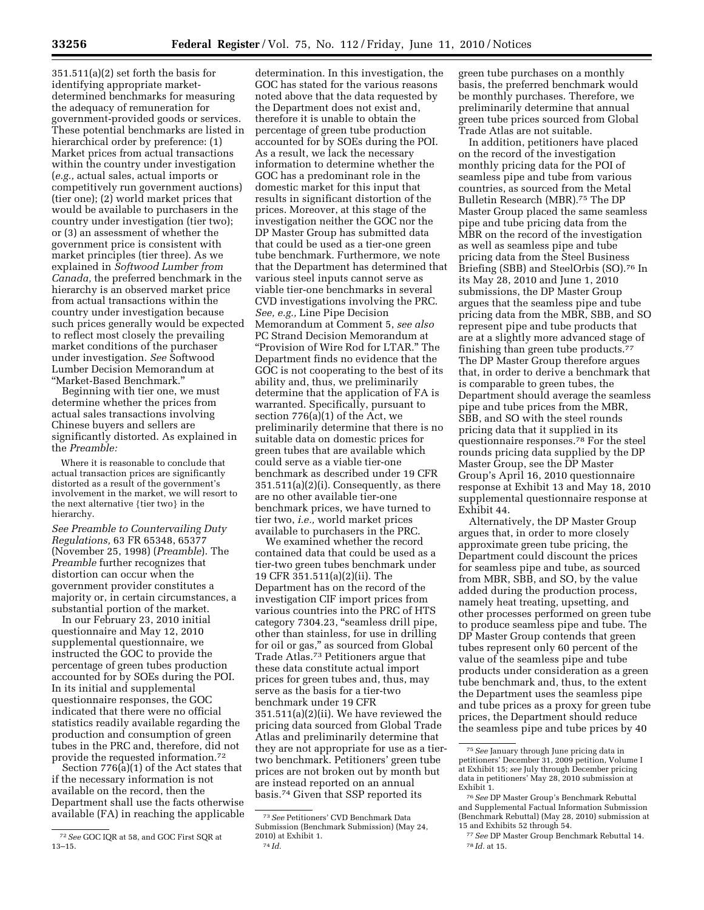351.511(a)(2) set forth the basis for identifying appropriate marketdetermined benchmarks for measuring the adequacy of remuneration for government-provided goods or services. These potential benchmarks are listed in hierarchical order by preference: (1) Market prices from actual transactions within the country under investigation (*e.g.,* actual sales, actual imports or competitively run government auctions) (tier one); (2) world market prices that would be available to purchasers in the country under investigation (tier two); or (3) an assessment of whether the government price is consistent with market principles (tier three). As we explained in *Softwood Lumber from Canada,* the preferred benchmark in the hierarchy is an observed market price from actual transactions within the country under investigation because such prices generally would be expected to reflect most closely the prevailing market conditions of the purchaser under investigation. *See* Softwood Lumber Decision Memorandum at ''Market-Based Benchmark.''

Beginning with tier one, we must determine whether the prices from actual sales transactions involving Chinese buyers and sellers are significantly distorted. As explained in the *Preamble:* 

Where it is reasonable to conclude that actual transaction prices are significantly distorted as a result of the government's involvement in the market, we will resort to the next alternative {tier two} in the hierarchy.

*See Preamble to Countervailing Duty Regulations,* 63 FR 65348, 65377 (November 25, 1998) (*Preamble*). The *Preamble* further recognizes that distortion can occur when the government provider constitutes a majority or, in certain circumstances, a substantial portion of the market.

In our February 23, 2010 initial questionnaire and May 12, 2010 supplemental questionnaire, we instructed the GOC to provide the percentage of green tubes production accounted for by SOEs during the POI. In its initial and supplemental questionnaire responses, the GOC indicated that there were no official statistics readily available regarding the production and consumption of green tubes in the PRC and, therefore, did not provide the requested information.72

Section 776(a)(1) of the Act states that if the necessary information is not available on the record, then the Department shall use the facts otherwise available (FA) in reaching the applicable

determination. In this investigation, the GOC has stated for the various reasons noted above that the data requested by the Department does not exist and, therefore it is unable to obtain the percentage of green tube production accounted for by SOEs during the POI. As a result, we lack the necessary information to determine whether the GOC has a predominant role in the domestic market for this input that results in significant distortion of the prices. Moreover, at this stage of the investigation neither the GOC nor the DP Master Group has submitted data that could be used as a tier-one green tube benchmark. Furthermore, we note that the Department has determined that various steel inputs cannot serve as viable tier-one benchmarks in several CVD investigations involving the PRC. *See, e.g.,* Line Pipe Decision Memorandum at Comment 5, *see also*  PC Strand Decision Memorandum at ''Provision of Wire Rod for LTAR.'' The Department finds no evidence that the GOC is not cooperating to the best of its ability and, thus, we preliminarily determine that the application of FA is warranted. Specifically, pursuant to section 776(a)(1) of the Act, we preliminarily determine that there is no suitable data on domestic prices for green tubes that are available which could serve as a viable tier-one benchmark as described under 19 CFR  $351.511(a)(2)(i)$ . Consequently, as there are no other available tier-one benchmark prices, we have turned to tier two, *i.e.,* world market prices available to purchasers in the PRC.

We examined whether the record contained data that could be used as a tier-two green tubes benchmark under 19 CFR 351.511(a)(2)(ii). The Department has on the record of the investigation CIF import prices from various countries into the PRC of HTS category 7304.23, ''seamless drill pipe, other than stainless, for use in drilling for oil or gas,'' as sourced from Global Trade Atlas.73 Petitioners argue that these data constitute actual import prices for green tubes and, thus, may serve as the basis for a tier-two benchmark under 19 CFR 351.511(a)(2)(ii). We have reviewed the pricing data sourced from Global Trade Atlas and preliminarily determine that they are not appropriate for use as a tiertwo benchmark. Petitioners' green tube prices are not broken out by month but are instead reported on an annual basis.74 Given that SSP reported its

green tube purchases on a monthly basis, the preferred benchmark would be monthly purchases. Therefore, we preliminarily determine that annual green tube prices sourced from Global Trade Atlas are not suitable.

In addition, petitioners have placed on the record of the investigation monthly pricing data for the POI of seamless pipe and tube from various countries, as sourced from the Metal Bulletin Research (MBR).75 The DP Master Group placed the same seamless pipe and tube pricing data from the MBR on the record of the investigation as well as seamless pipe and tube pricing data from the Steel Business Briefing (SBB) and SteelOrbis (SO).76 In its May 28, 2010 and June 1, 2010 submissions, the DP Master Group argues that the seamless pipe and tube pricing data from the MBR, SBB, and SO represent pipe and tube products that are at a slightly more advanced stage of finishing than green tube products.<sup>77</sup> The DP Master Group therefore argues that, in order to derive a benchmark that is comparable to green tubes, the Department should average the seamless pipe and tube prices from the MBR, SBB, and SO with the steel rounds pricing data that it supplied in its questionnaire responses.78 For the steel rounds pricing data supplied by the DP Master Group, see the DP Master Group's April 16, 2010 questionnaire response at Exhibit 13 and May 18, 2010 supplemental questionnaire response at Exhibit 44.

Alternatively, the DP Master Group argues that, in order to more closely approximate green tube pricing, the Department could discount the prices for seamless pipe and tube, as sourced from MBR, SBB, and SO, by the value added during the production process, namely heat treating, upsetting, and other processes performed on green tube to produce seamless pipe and tube. The DP Master Group contends that green tubes represent only 60 percent of the value of the seamless pipe and tube products under consideration as a green tube benchmark and, thus, to the extent the Department uses the seamless pipe and tube prices as a proxy for green tube prices, the Department should reduce the seamless pipe and tube prices by 40

<sup>72</sup>*See* GOC IQR at 58, and GOC First SQR at 13–15.

<sup>73</sup>*See* Petitioners' CVD Benchmark Data Submission (Benchmark Submission) (May 24, 2010) at Exhibit 1. 74 *Id.* 

<sup>75</sup>*See* January through June pricing data in petitioners' December 31, 2009 petition, Volume I at Exhibit 15; *see* July through December pricing data in petitioners' May 28, 2010 submission at Exhibit 1.

<sup>76</sup>*See* DP Master Group's Benchmark Rebuttal and Supplemental Factual Information Submission (Benchmark Rebuttal) (May 28, 2010) submission at 15 and Exhibits 52 through 54.

<sup>77</sup>*See* DP Master Group Benchmark Rebuttal 14. 78 *Id.* at 15.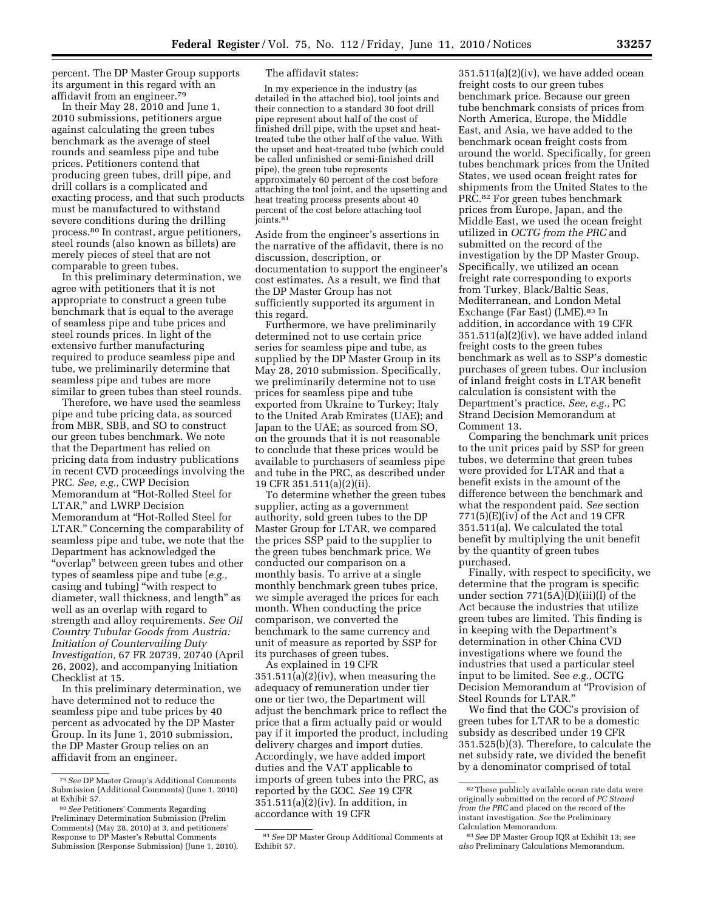percent. The DP Master Group supports its argument in this regard with an affidavit from an engineer.79

In their May 28, 2010 and June 1, 2010 submissions, petitioners argue against calculating the green tubes benchmark as the average of steel rounds and seamless pipe and tube prices. Petitioners contend that producing green tubes, drill pipe, and drill collars is a complicated and exacting process, and that such products must be manufactured to withstand severe conditions during the drilling process.80 In contrast, argue petitioners, steel rounds (also known as billets) are merely pieces of steel that are not comparable to green tubes.

In this preliminary determination, we agree with petitioners that it is not appropriate to construct a green tube benchmark that is equal to the average of seamless pipe and tube prices and steel rounds prices. In light of the extensive further manufacturing required to produce seamless pipe and tube, we preliminarily determine that seamless pipe and tubes are more similar to green tubes than steel rounds.

Therefore, we have used the seamless pipe and tube pricing data, as sourced from MBR, SBB, and SO to construct our green tubes benchmark. We note that the Department has relied on pricing data from industry publications in recent CVD proceedings involving the PRC. *See, e.g.,* CWP Decision Memorandum at ''Hot-Rolled Steel for LTAR,'' and LWRP Decision Memorandum at ''Hot-Rolled Steel for LTAR.'' Concerning the comparability of seamless pipe and tube, we note that the Department has acknowledged the ''overlap'' between green tubes and other types of seamless pipe and tube (*e.g.,*  casing and tubing) ''with respect to diameter, wall thickness, and length'' as well as an overlap with regard to strength and alloy requirements. *See Oil Country Tubular Goods from Austria: Initiation of Countervailing Duty Investigation,* 67 FR 20739, 20740 (April 26, 2002), and accompanying Initiation Checklist at 15.

In this preliminary determination, we have determined not to reduce the seamless pipe and tube prices by 40 percent as advocated by the DP Master Group. In its June 1, 2010 submission, the DP Master Group relies on an affidavit from an engineer.

## The affidavit states:

In my experience in the industry (as detailed in the attached bio), tool joints and their connection to a standard 30 foot drill pipe represent about half of the cost of finished drill pipe, with the upset and heattreated tube the other half of the value. With the upset and heat-treated tube (which could be called unfinished or semi-finished drill pipe), the green tube represents approximately 60 percent of the cost before attaching the tool joint, and the upsetting and heat treating process presents about 40 percent of the cost before attaching tool joints.<sup>81</sup>

Aside from the engineer's assertions in the narrative of the affidavit, there is no discussion, description, or documentation to support the engineer's cost estimates. As a result, we find that the DP Master Group has not sufficiently supported its argument in this regard.

Furthermore, we have preliminarily determined not to use certain price series for seamless pipe and tube, as supplied by the DP Master Group in its May 28, 2010 submission. Specifically, we preliminarily determine not to use prices for seamless pipe and tube exported from Ukraine to Turkey; Italy to the United Arab Emirates (UAE); and Japan to the UAE; as sourced from SO, on the grounds that it is not reasonable to conclude that these prices would be available to purchasers of seamless pipe and tube in the PRC, as described under 19 CFR 351.511(a)(2)(ii).

To determine whether the green tubes supplier, acting as a government authority, sold green tubes to the DP Master Group for LTAR, we compared the prices SSP paid to the supplier to the green tubes benchmark price. We conducted our comparison on a monthly basis. To arrive at a single monthly benchmark green tubes price, we simple averaged the prices for each month. When conducting the price comparison, we converted the benchmark to the same currency and unit of measure as reported by SSP for its purchases of green tubes.

As explained in 19 CFR 351.511(a)(2)(iv), when measuring the adequacy of remuneration under tier one or tier two, the Department will adjust the benchmark price to reflect the price that a firm actually paid or would pay if it imported the product, including delivery charges and import duties. Accordingly, we have added import duties and the VAT applicable to imports of green tubes into the PRC, as reported by the GOC. *See* 19 CFR 351.511(a)(2)(iv). In addition, in accordance with 19 CFR

 $351.511(a)(2)(iv)$ , we have added ocean freight costs to our green tubes benchmark price. Because our green tube benchmark consists of prices from North America, Europe, the Middle East, and Asia, we have added to the benchmark ocean freight costs from around the world. Specifically, for green tubes benchmark prices from the United States, we used ocean freight rates for shipments from the United States to the PRC.82 For green tubes benchmark prices from Europe, Japan, and the Middle East, we used the ocean freight utilized in *OCTG from the PRC* and submitted on the record of the investigation by the DP Master Group. Specifically, we utilized an ocean freight rate corresponding to exports from Turkey, Black/Baltic Seas, Mediterranean, and London Metal Exchange (Far East) (LME).83 In addition, in accordance with 19 CFR 351.511(a)(2)(iv), we have added inland freight costs to the green tubes benchmark as well as to SSP's domestic purchases of green tubes. Our inclusion of inland freight costs in LTAR benefit calculation is consistent with the Department's practice. *See, e.g.,* PC Strand Decision Memorandum at Comment 13.

Comparing the benchmark unit prices to the unit prices paid by SSP for green tubes, we determine that green tubes were provided for LTAR and that a benefit exists in the amount of the difference between the benchmark and what the respondent paid. *See* section  $771(5)$ (E)(iv) of the Act and 19 CFR 351.511(a). We calculated the total benefit by multiplying the unit benefit by the quantity of green tubes purchased.

Finally, with respect to specificity, we determine that the program is specific under section 771(5A)(D)(iii)(I) of the Act because the industries that utilize green tubes are limited. This finding is in keeping with the Department's determination in other China CVD investigations where we found the industries that used a particular steel input to be limited. See *e.g.,* OCTG Decision Memorandum at ''Provision of Steel Rounds for LTAR.''

We find that the GOC's provision of green tubes for LTAR to be a domestic subsidy as described under 19 CFR 351.525(b)(3). Therefore, to calculate the net subsidy rate, we divided the benefit by a denominator comprised of total

<sup>79</sup>*See* DP Master Group's Additional Comments Submission (Additional Comments) (June 1, 2010) at Exhibit 57.

<sup>80</sup>*See* Petitioners' Comments Regarding Preliminary Determination Submission (Prelim Comments) (May 28, 2010) at 3, and petitioners' Response to DP Master's Rebuttal Comments Submission (Response Submission) (June 1, 2010).

<sup>81</sup>*See* DP Master Group Additional Comments at Exhibit 57.

 $^{\mathrm{82}}$  These publicly available ocean rate data were originally submitted on the record of *PC Strand from the PRC* and placed on the record of the instant investigation. *See* the Preliminary Calculation Memorandum.

<sup>83</sup>*See* DP Master Group IQR at Exhibit 13; *see also* Preliminary Calculations Memorandum.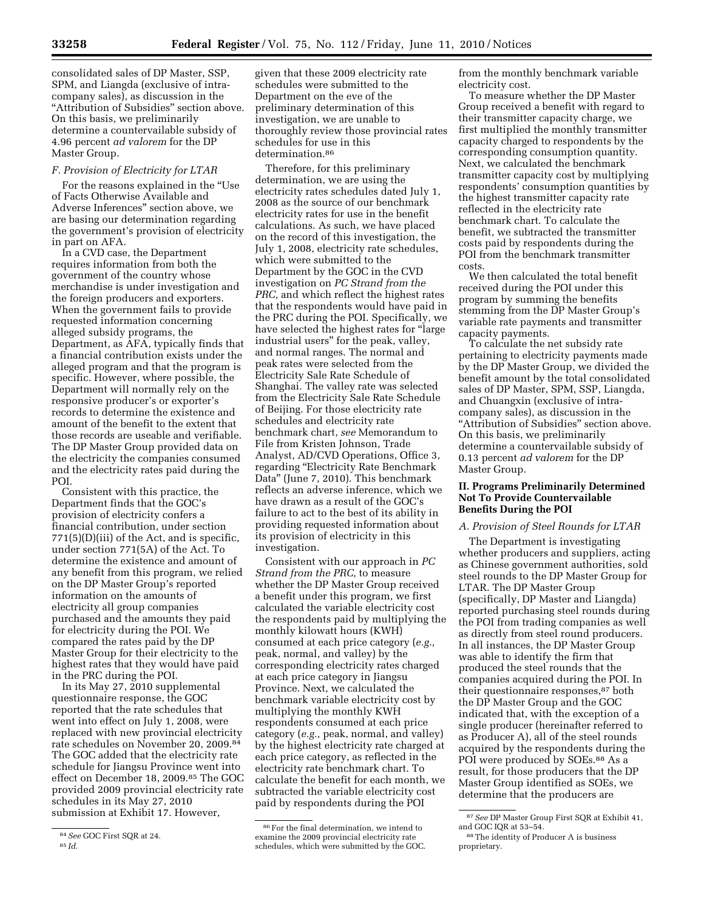consolidated sales of DP Master, SSP, SPM, and Liangda (exclusive of intracompany sales), as discussion in the "Attribution of Subsidies" section above. On this basis, we preliminarily determine a countervailable subsidy of 4.96 percent *ad valorem* for the DP Master Group.

## *F. Provision of Electricity for LTAR*

For the reasons explained in the ''Use of Facts Otherwise Available and Adverse Inferences'' section above, we are basing our determination regarding the government's provision of electricity in part on AFA.

In a CVD case, the Department requires information from both the government of the country whose merchandise is under investigation and the foreign producers and exporters. When the government fails to provide requested information concerning alleged subsidy programs, the Department, as AFA, typically finds that a financial contribution exists under the alleged program and that the program is specific. However, where possible, the Department will normally rely on the responsive producer's or exporter's records to determine the existence and amount of the benefit to the extent that those records are useable and verifiable. The DP Master Group provided data on the electricity the companies consumed and the electricity rates paid during the POI.

Consistent with this practice, the Department finds that the GOC's provision of electricity confers a financial contribution, under section 771(5)(D)(iii) of the Act, and is specific, under section 771(5A) of the Act. To determine the existence and amount of any benefit from this program, we relied on the DP Master Group's reported information on the amounts of electricity all group companies purchased and the amounts they paid for electricity during the POI. We compared the rates paid by the DP Master Group for their electricity to the highest rates that they would have paid in the PRC during the POI.

In its May 27, 2010 supplemental questionnaire response, the GOC reported that the rate schedules that went into effect on July 1, 2008, were replaced with new provincial electricity rate schedules on November 20, 2009.84 The GOC added that the electricity rate schedule for Jiangsu Province went into effect on December 18, 2009.85 The GOC provided 2009 provincial electricity rate schedules in its May 27, 2010 submission at Exhibit 17. However,

given that these 2009 electricity rate schedules were submitted to the Department on the eve of the preliminary determination of this investigation, we are unable to thoroughly review those provincial rates schedules for use in this determination.<sup>86</sup>

Therefore, for this preliminary determination, we are using the electricity rates schedules dated July 1, 2008 as the source of our benchmark electricity rates for use in the benefit calculations. As such, we have placed on the record of this investigation, the July 1, 2008, electricity rate schedules, which were submitted to the Department by the GOC in the CVD investigation on *PC Strand from the PRC,* and which reflect the highest rates that the respondents would have paid in the PRC during the POI. Specifically, we have selected the highest rates for "large" industrial users'' for the peak, valley, and normal ranges. The normal and peak rates were selected from the Electricity Sale Rate Schedule of Shanghai. The valley rate was selected from the Electricity Sale Rate Schedule of Beijing. For those electricity rate schedules and electricity rate benchmark chart, *see* Memorandum to File from Kristen Johnson, Trade Analyst, AD/CVD Operations, Office 3, regarding ''Electricity Rate Benchmark Data'' (June 7, 2010). This benchmark reflects an adverse inference, which we have drawn as a result of the GOC's failure to act to the best of its ability in providing requested information about its provision of electricity in this investigation.

Consistent with our approach in *PC Strand from the PRC,* to measure whether the DP Master Group received a benefit under this program, we first calculated the variable electricity cost the respondents paid by multiplying the monthly kilowatt hours (KWH) consumed at each price category (*e.g.,*  peak, normal, and valley) by the corresponding electricity rates charged at each price category in Jiangsu Province. Next, we calculated the benchmark variable electricity cost by multiplying the monthly KWH respondents consumed at each price category (*e.g.,* peak, normal, and valley) by the highest electricity rate charged at each price category, as reflected in the electricity rate benchmark chart. To calculate the benefit for each month, we subtracted the variable electricity cost paid by respondents during the POI

from the monthly benchmark variable electricity cost.

To measure whether the DP Master Group received a benefit with regard to their transmitter capacity charge, we first multiplied the monthly transmitter capacity charged to respondents by the corresponding consumption quantity. Next, we calculated the benchmark transmitter capacity cost by multiplying respondents' consumption quantities by the highest transmitter capacity rate reflected in the electricity rate benchmark chart. To calculate the benefit, we subtracted the transmitter costs paid by respondents during the POI from the benchmark transmitter costs.

We then calculated the total benefit received during the POI under this program by summing the benefits stemming from the DP Master Group's variable rate payments and transmitter capacity payments.

To calculate the net subsidy rate pertaining to electricity payments made by the DP Master Group, we divided the benefit amount by the total consolidated sales of DP Master, SPM, SSP, Liangda, and Chuangxin (exclusive of intracompany sales), as discussion in the ''Attribution of Subsidies'' section above. On this basis, we preliminarily determine a countervailable subsidy of 0.13 percent *ad valorem* for the DP Master Group.

## **II. Programs Preliminarily Determined Not To Provide Countervailable Benefits During the POI**

## *A. Provision of Steel Rounds for LTAR*

The Department is investigating whether producers and suppliers, acting as Chinese government authorities, sold steel rounds to the DP Master Group for LTAR. The DP Master Group (specifically, DP Master and Liangda) reported purchasing steel rounds during the POI from trading companies as well as directly from steel round producers. In all instances, the DP Master Group was able to identify the firm that produced the steel rounds that the companies acquired during the POI. In their questionnaire responses,87 both the DP Master Group and the GOC indicated that, with the exception of a single producer (hereinafter referred to as Producer A), all of the steel rounds acquired by the respondents during the POI were produced by SOEs.88 As a result, for those producers that the DP Master Group identified as SOEs, we determine that the producers are

<sup>84</sup>*See* GOC First SQR at 24. 85 *Id.* 

<sup>86</sup>For the final determination, we intend to examine the 2009 provincial electricity rate schedules, which were submitted by the GOC.

<sup>87</sup>*See* DP Master Group First SQR at Exhibit 41, and GOC IQR at 53–54.

<sup>88</sup>The identity of Producer A is business proprietary.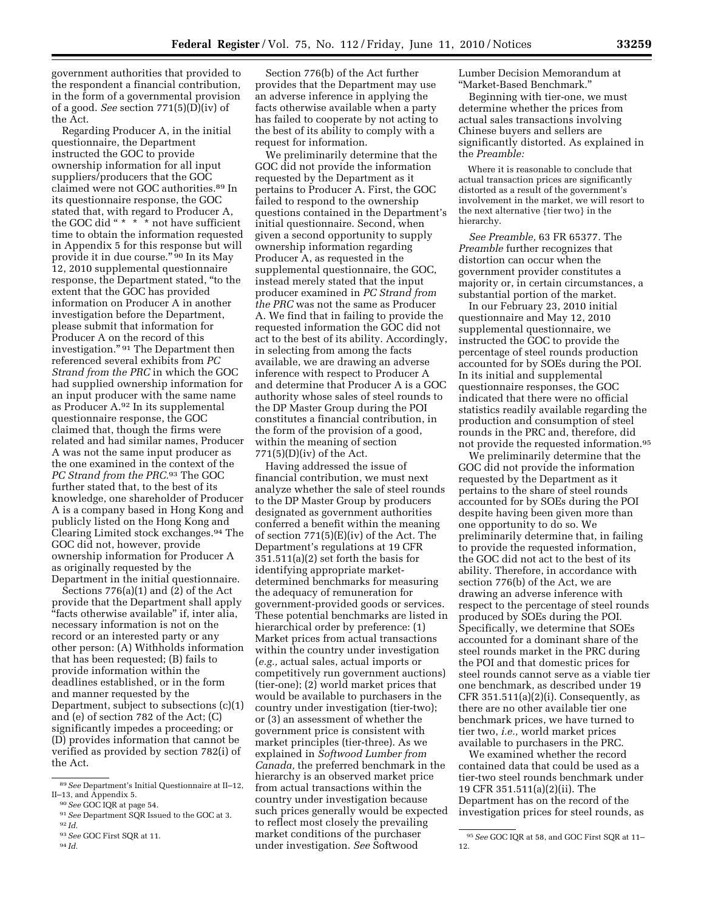government authorities that provided to the respondent a financial contribution, in the form of a governmental provision of a good. *See* section 771(5)(D)(iv) of the Act.

Regarding Producer A, in the initial questionnaire, the Department instructed the GOC to provide ownership information for all input suppliers/producers that the GOC claimed were not GOC authorities.89 In its questionnaire response, the GOC stated that, with regard to Producer A, the GOC did " $*$  \*  $*$  not have sufficient time to obtain the information requested in Appendix 5 for this response but will provide it in due course.'' 90 In its May 12, 2010 supplemental questionnaire response, the Department stated, ''to the extent that the GOC has provided information on Producer A in another investigation before the Department, please submit that information for Producer A on the record of this investigation." <sup>91</sup> The Department then referenced several exhibits from *PC Strand from the PRC* in which the GOC had supplied ownership information for an input producer with the same name as Producer A.92 In its supplemental questionnaire response, the GOC claimed that, though the firms were related and had similar names, Producer A was not the same input producer as the one examined in the context of the *PC Strand from the PRC.*93 The GOC further stated that, to the best of its knowledge, one shareholder of Producer A is a company based in Hong Kong and publicly listed on the Hong Kong and Clearing Limited stock exchanges.94 The GOC did not, however, provide ownership information for Producer A as originally requested by the Department in the initial questionnaire.

Sections 776(a)(1) and (2) of the Act provide that the Department shall apply ''facts otherwise available'' if, inter alia, necessary information is not on the record or an interested party or any other person: (A) Withholds information that has been requested; (B) fails to provide information within the deadlines established, or in the form and manner requested by the Department, subject to subsections (c)(1) and (e) of section 782 of the Act; (C) significantly impedes a proceeding; or (D) provides information that cannot be verified as provided by section 782(i) of the Act.

Section 776(b) of the Act further provides that the Department may use an adverse inference in applying the facts otherwise available when a party has failed to cooperate by not acting to the best of its ability to comply with a request for information.

We preliminarily determine that the GOC did not provide the information requested by the Department as it pertains to Producer A. First, the GOC failed to respond to the ownership questions contained in the Department's initial questionnaire. Second, when given a second opportunity to supply ownership information regarding Producer A, as requested in the supplemental questionnaire, the GOC, instead merely stated that the input producer examined in *PC Strand from the PRC* was not the same as Producer A. We find that in failing to provide the requested information the GOC did not act to the best of its ability. Accordingly, in selecting from among the facts available, we are drawing an adverse inference with respect to Producer A and determine that Producer A is a GOC authority whose sales of steel rounds to the DP Master Group during the POI constitutes a financial contribution, in the form of the provision of a good, within the meaning of section  $771(5)(D)(iv)$  of the Act.

Having addressed the issue of financial contribution, we must next analyze whether the sale of steel rounds to the DP Master Group by producers designated as government authorities conferred a benefit within the meaning of section 771(5)(E)(iv) of the Act. The Department's regulations at 19 CFR 351.511(a)(2) set forth the basis for identifying appropriate marketdetermined benchmarks for measuring the adequacy of remuneration for government-provided goods or services. These potential benchmarks are listed in hierarchical order by preference: (1) Market prices from actual transactions within the country under investigation (*e.g.,* actual sales, actual imports or competitively run government auctions) (tier-one); (2) world market prices that would be available to purchasers in the country under investigation (tier-two); or (3) an assessment of whether the government price is consistent with market principles (tier-three). As we explained in *Softwood Lumber from Canada,* the preferred benchmark in the hierarchy is an observed market price from actual transactions within the country under investigation because such prices generally would be expected to reflect most closely the prevailing market conditions of the purchaser under investigation. *See* Softwood

Lumber Decision Memorandum at ''Market-Based Benchmark.''

Beginning with tier-one, we must determine whether the prices from actual sales transactions involving Chinese buyers and sellers are significantly distorted. As explained in the *Preamble:* 

Where it is reasonable to conclude that actual transaction prices are significantly distorted as a result of the government's involvement in the market, we will resort to the next alternative {tier two} in the hierarchy.

*See Preamble,* 63 FR 65377. The *Preamble* further recognizes that distortion can occur when the government provider constitutes a majority or, in certain circumstances, a substantial portion of the market.

In our February 23, 2010 initial questionnaire and May 12, 2010 supplemental questionnaire, we instructed the GOC to provide the percentage of steel rounds production accounted for by SOEs during the POI. In its initial and supplemental questionnaire responses, the GOC indicated that there were no official statistics readily available regarding the production and consumption of steel rounds in the PRC and, therefore, did not provide the requested information.95

We preliminarily determine that the GOC did not provide the information requested by the Department as it pertains to the share of steel rounds accounted for by SOEs during the POI despite having been given more than one opportunity to do so. We preliminarily determine that, in failing to provide the requested information, the GOC did not act to the best of its ability. Therefore, in accordance with section 776(b) of the Act, we are drawing an adverse inference with respect to the percentage of steel rounds produced by SOEs during the POI. Specifically, we determine that SOEs accounted for a dominant share of the steel rounds market in the PRC during the POI and that domestic prices for steel rounds cannot serve as a viable tier one benchmark, as described under 19 CFR  $351.511(a)(2)(i)$ . Consequently, as there are no other available tier one benchmark prices, we have turned to tier two, *i.e.,* world market prices available to purchasers in the PRC.

We examined whether the record contained data that could be used as a tier-two steel rounds benchmark under 19 CFR 351.511(a)(2)(ii). The Department has on the record of the investigation prices for steel rounds, as

<sup>89</sup>*See* Department's Initial Questionnaire at II–12, II–13, and Appendix 5.

<sup>90</sup>*See* GOC IQR at page 54.

<sup>91</sup>*See* Department SQR Issued to the GOC at 3. 92 *Id.* 

<sup>93</sup>*See* GOC First SQR at 11.

<sup>94</sup> *Id.* 

<sup>95</sup>*See* GOC IQR at 58, and GOC First SQR at 11– 12.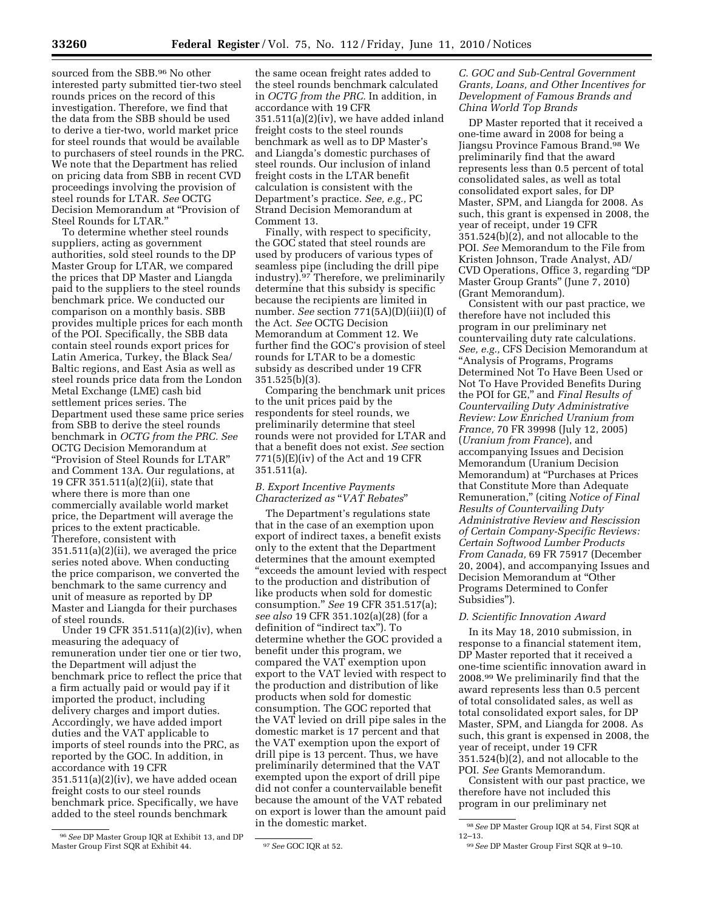sourced from the SBB.96 No other interested party submitted tier-two steel rounds prices on the record of this investigation. Therefore, we find that the data from the SBB should be used to derive a tier-two, world market price for steel rounds that would be available to purchasers of steel rounds in the PRC. We note that the Department has relied on pricing data from SBB in recent CVD proceedings involving the provision of steel rounds for LTAR. *See* OCTG Decision Memorandum at ''Provision of Steel Rounds for LTAR.''

To determine whether steel rounds suppliers, acting as government authorities, sold steel rounds to the DP Master Group for LTAR, we compared the prices that DP Master and Liangda paid to the suppliers to the steel rounds benchmark price. We conducted our comparison on a monthly basis. SBB provides multiple prices for each month of the POI. Specifically, the SBB data contain steel rounds export prices for Latin America, Turkey, the Black Sea/ Baltic regions, and East Asia as well as steel rounds price data from the London Metal Exchange (LME) cash bid settlement prices series. The Department used these same price series from SBB to derive the steel rounds benchmark in *OCTG from the PRC. See*  OCTG Decision Memorandum at ''Provision of Steel Rounds for LTAR'' and Comment 13A. Our regulations, at 19 CFR 351.511(a)(2)(ii), state that where there is more than one commercially available world market price, the Department will average the prices to the extent practicable. Therefore, consistent with 351.511(a)(2)(ii), we averaged the price series noted above. When conducting the price comparison, we converted the benchmark to the same currency and unit of measure as reported by DP Master and Liangda for their purchases of steel rounds.

Under 19 CFR 351.511(a)(2)(iv), when measuring the adequacy of remuneration under tier one or tier two, the Department will adjust the benchmark price to reflect the price that a firm actually paid or would pay if it imported the product, including delivery charges and import duties. Accordingly, we have added import duties and the VAT applicable to imports of steel rounds into the PRC, as reported by the GOC. In addition, in accordance with 19 CFR  $351.511(a)(2)(iv)$ , we have added ocean freight costs to our steel rounds benchmark price. Specifically, we have added to the steel rounds benchmark

the same ocean freight rates added to the steel rounds benchmark calculated in *OCTG from the PRC.* In addition, in accordance with 19 CFR 351.511(a)(2)(iv), we have added inland freight costs to the steel rounds benchmark as well as to DP Master's and Liangda's domestic purchases of steel rounds. Our inclusion of inland freight costs in the LTAR benefit calculation is consistent with the Department's practice. *See, e.g.,* PC Strand Decision Memorandum at Comment 13.

Finally, with respect to specificity, the GOC stated that steel rounds are used by producers of various types of seamless pipe (including the drill pipe industry).97 Therefore, we preliminarily determine that this subsidy is specific because the recipients are limited in number. *See* section 771(5A)(D)(iii)(I) of the Act. *See* OCTG Decision Memorandum at Comment 12. We further find the GOC's provision of steel rounds for LTAR to be a domestic subsidy as described under 19 CFR 351.525(b)(3).

Comparing the benchmark unit prices to the unit prices paid by the respondents for steel rounds, we preliminarily determine that steel rounds were not provided for LTAR and that a benefit does not exist. *See* section 771(5)(E)(iv) of the Act and 19 CFR 351.511(a).

## *B. Export Incentive Payments Characterized as* ''*VAT Rebates*''

The Department's regulations state that in the case of an exemption upon export of indirect taxes, a benefit exists only to the extent that the Department determines that the amount exempted ''exceeds the amount levied with respect to the production and distribution of like products when sold for domestic consumption.'' *See* 19 CFR 351.517(a); *see also* 19 CFR 351.102(a)(28) (for a definition of ''indirect tax''). To determine whether the GOC provided a benefit under this program, we compared the VAT exemption upon export to the VAT levied with respect to the production and distribution of like products when sold for domestic consumption. The GOC reported that the VAT levied on drill pipe sales in the domestic market is 17 percent and that the VAT exemption upon the export of drill pipe is 13 percent. Thus, we have preliminarily determined that the VAT exempted upon the export of drill pipe did not confer a countervailable benefit because the amount of the VAT rebated on export is lower than the amount paid in the domestic market.

# *C. GOC and Sub-Central Government Grants, Loans, and Other Incentives for Development of Famous Brands and China World Top Brands*

DP Master reported that it received a one-time award in 2008 for being a Jiangsu Province Famous Brand.98 We preliminarily find that the award represents less than 0.5 percent of total consolidated sales, as well as total consolidated export sales, for DP Master, SPM, and Liangda for 2008. As such, this grant is expensed in 2008, the year of receipt, under 19 CFR 351.524(b)(2), and not allocable to the POI. *See* Memorandum to the File from Kristen Johnson, Trade Analyst, AD/ CVD Operations, Office 3, regarding ''DP Master Group Grants'' (June 7, 2010) (Grant Memorandum).

Consistent with our past practice, we therefore have not included this program in our preliminary net countervailing duty rate calculations. *See, e.g.,* CFS Decision Memorandum at ''Analysis of Programs, Programs Determined Not To Have Been Used or Not To Have Provided Benefits During the POI for GE,'' and *Final Results of Countervailing Duty Administrative Review: Low Enriched Uranium from France,* 70 FR 39998 (July 12, 2005) (*Uranium from France*), and accompanying Issues and Decision Memorandum (Uranium Decision Memorandum) at ''Purchases at Prices that Constitute More than Adequate Remuneration,'' (citing *Notice of Final Results of Countervailing Duty Administrative Review and Rescission of Certain Company-Specific Reviews: Certain Softwood Lumber Products From Canada,* 69 FR 75917 (December 20, 2004), and accompanying Issues and Decision Memorandum at ''Other Programs Determined to Confer Subsidies'').

# *D. Scientific Innovation Award*

In its May 18, 2010 submission, in response to a financial statement item, DP Master reported that it received a one-time scientific innovation award in 2008.99 We preliminarily find that the award represents less than 0.5 percent of total consolidated sales, as well as total consolidated export sales, for DP Master, SPM, and Liangda for 2008. As such, this grant is expensed in 2008, the year of receipt, under 19 CFR 351.524(b)(2), and not allocable to the POI. *See* Grants Memorandum.

Consistent with our past practice, we therefore have not included this program in our preliminary net

<sup>96</sup>*See* DP Master Group IQR at Exhibit 13, and DP Master Group First SQR at Exhibit 44. 97*See* GOC IQR at 52.

<sup>98</sup>*See* DP Master Group IQR at 54, First SQR at 12–13.

<sup>99</sup>*See* DP Master Group First SQR at 9–10.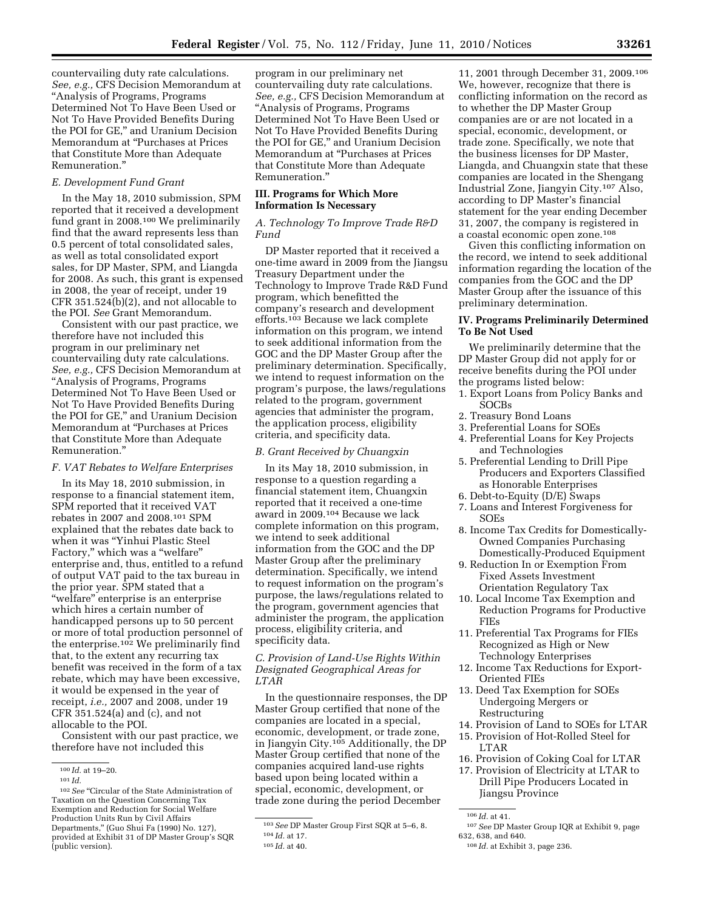countervailing duty rate calculations. *See, e.g.,* CFS Decision Memorandum at ''Analysis of Programs, Programs Determined Not To Have Been Used or Not To Have Provided Benefits During the POI for GE," and Uranium Decision Memorandum at ''Purchases at Prices that Constitute More than Adequate Remuneration.''

### *E. Development Fund Grant*

In the May 18, 2010 submission, SPM reported that it received a development fund grant in 2008.100 We preliminarily find that the award represents less than 0.5 percent of total consolidated sales, as well as total consolidated export sales, for DP Master, SPM, and Liangda for 2008. As such, this grant is expensed in 2008, the year of receipt, under 19 CFR 351.524(b)(2), and not allocable to the POI. *See* Grant Memorandum.

Consistent with our past practice, we therefore have not included this program in our preliminary net countervailing duty rate calculations. *See, e.g.,* CFS Decision Memorandum at ''Analysis of Programs, Programs Determined Not To Have Been Used or Not To Have Provided Benefits During the POI for GE," and Uranium Decision Memorandum at ''Purchases at Prices that Constitute More than Adequate Remuneration.''

#### *F. VAT Rebates to Welfare Enterprises*

In its May 18, 2010 submission, in response to a financial statement item, SPM reported that it received VAT rebates in 2007 and 2008.101 SPM explained that the rebates date back to when it was ''Yinhui Plastic Steel Factory," which was a "welfare" enterprise and, thus, entitled to a refund of output VAT paid to the tax bureau in the prior year. SPM stated that a ''welfare'' enterprise is an enterprise which hires a certain number of handicapped persons up to 50 percent or more of total production personnel of the enterprise.102 We preliminarily find that, to the extent any recurring tax benefit was received in the form of a tax rebate, which may have been excessive, it would be expensed in the year of receipt, *i.e.,* 2007 and 2008, under 19 CFR 351.524(a) and (c), and not allocable to the POI.

Consistent with our past practice, we therefore have not included this

program in our preliminary net countervailing duty rate calculations. *See, e.g.,* CFS Decision Memorandum at ''Analysis of Programs, Programs Determined Not To Have Been Used or Not To Have Provided Benefits During the POI for GE,'' and Uranium Decision Memorandum at ''Purchases at Prices that Constitute More than Adequate Remuneration.''

## **III. Programs for Which More Information Is Necessary**

# *A. Technology To Improve Trade R&D Fund*

DP Master reported that it received a one-time award in 2009 from the Jiangsu Treasury Department under the Technology to Improve Trade R&D Fund program, which benefitted the company's research and development efforts.103 Because we lack complete information on this program, we intend to seek additional information from the GOC and the DP Master Group after the preliminary determination. Specifically, we intend to request information on the program's purpose, the laws/regulations related to the program, government agencies that administer the program, the application process, eligibility criteria, and specificity data.

## *B. Grant Received by Chuangxin*

In its May 18, 2010 submission, in response to a question regarding a financial statement item, Chuangxin reported that it received a one-time award in 2009.104 Because we lack complete information on this program, we intend to seek additional information from the GOC and the DP Master Group after the preliminary determination. Specifically, we intend to request information on the program's purpose, the laws/regulations related to the program, government agencies that administer the program, the application process, eligibility criteria, and specificity data.

*C. Provision of Land-Use Rights Within Designated Geographical Areas for LTAR* 

In the questionnaire responses, the DP Master Group certified that none of the companies are located in a special, economic, development, or trade zone, in Jiangyin City.105 Additionally, the DP Master Group certified that none of the companies acquired land-use rights based upon being located within a special, economic, development, or trade zone during the period December

11, 2001 through December 31, 2009.106 We, however, recognize that there is conflicting information on the record as to whether the DP Master Group companies are or are not located in a special, economic, development, or trade zone. Specifically, we note that the business licenses for DP Master, Liangda, and Chuangxin state that these companies are located in the Shengang Industrial Zone, Jiangyin City.107 Also, according to DP Master's financial statement for the year ending December 31, 2007, the company is registered in a coastal economic open zone.108

Given this conflicting information on the record, we intend to seek additional information regarding the location of the companies from the GOC and the DP Master Group after the issuance of this preliminary determination.

## **IV. Programs Preliminarily Determined To Be Not Used**

We preliminarily determine that the DP Master Group did not apply for or receive benefits during the POI under the programs listed below:

- 1. Export Loans from Policy Banks and SOCBs
- 2. Treasury Bond Loans
- 3. Preferential Loans for SOEs
- 4. Preferential Loans for Key Projects and Technologies
- 5. Preferential Lending to Drill Pipe Producers and Exporters Classified as Honorable Enterprises
- 6. Debt-to-Equity (D/E) Swaps
- 7. Loans and Interest Forgiveness for SOEs
- 8. Income Tax Credits for Domestically-Owned Companies Purchasing Domestically-Produced Equipment
- 9. Reduction In or Exemption From Fixed Assets Investment Orientation Regulatory Tax
- 10. Local Income Tax Exemption and Reduction Programs for Productive FIEs
- 11. Preferential Tax Programs for FIEs Recognized as High or New Technology Enterprises
- 12. Income Tax Reductions for Export-Oriented FIEs
- 13. Deed Tax Exemption for SOEs Undergoing Mergers or Restructuring
- 14. Provision of Land to SOEs for LTAR
- 15. Provision of Hot-Rolled Steel for LTAR
- 16. Provision of Coking Coal for LTAR
- 17. Provision of Electricity at LTAR to Drill Pipe Producers Located in Jiangsu Province

<sup>100</sup> *Id.* at 19–20.

<sup>101</sup> *Id.* 

<sup>&</sup>lt;sup>102</sup> See "Circular of the State Administration of Taxation on the Question Concerning Tax Exemption and Reduction for Social Welfare Production Units Run by Civil Affairs Departments,'' (Guo Shui Fa (1990) No. 127), provided at Exhibit 31 of DP Master Group's SQR (public version).

<sup>103</sup>*See* DP Master Group First SQR at 5–6, 8.

<sup>104</sup> *Id.* at 17. 105 *Id.* at 40.

<sup>106</sup> *Id.* at 41.

<sup>107</sup>*See* DP Master Group IQR at Exhibit 9, page 632, 638, and 640.

<sup>108</sup> *Id.* at Exhibit 3, page 236.